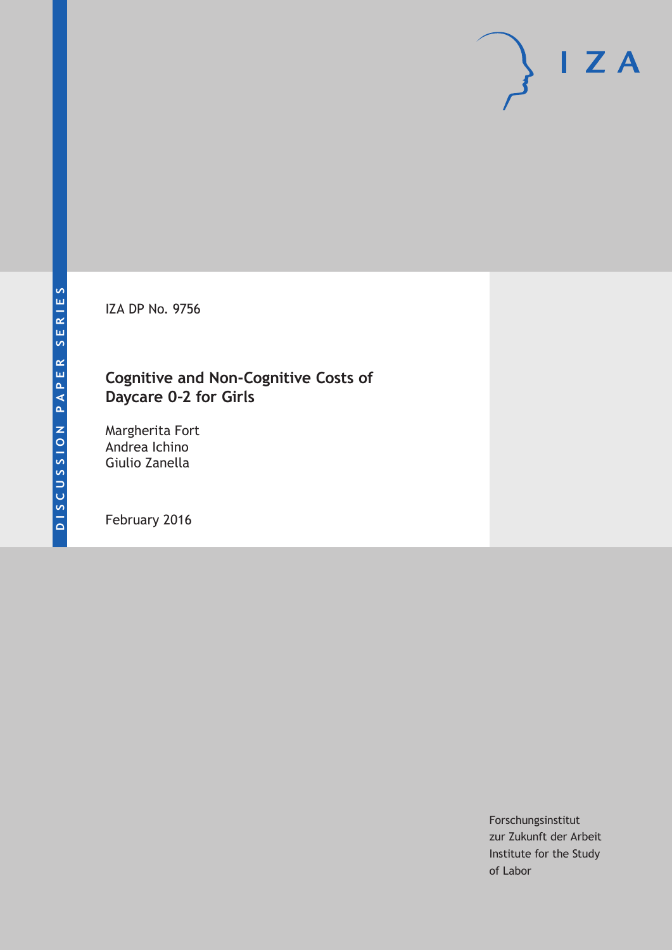IZA DP No. 9756

### **Cognitive and Non-Cognitive Costs of Daycare 0–2 for Girls**

Margherita Fort Andrea Ichino Giulio Zanella

February 2016

Forschungsinstitut zur Zukunft der Arbeit Institute for the Study of Labor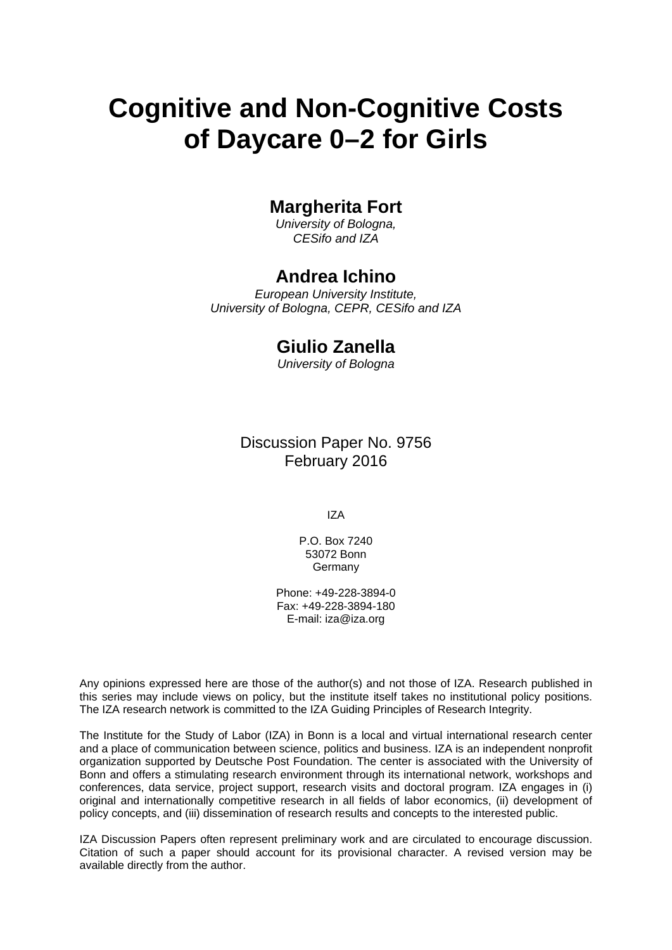# **Cognitive and Non-Cognitive Costs of Daycare 0–2 for Girls**

### **Margherita Fort**

*University of Bologna, CESifo and IZA* 

#### **Andrea Ichino**

*European University Institute, University of Bologna, CEPR, CESifo and IZA* 

#### **Giulio Zanella**

*University of Bologna*

Discussion Paper No. 9756 February 2016

IZA

P.O. Box 7240 53072 Bonn **Germany** 

Phone: +49-228-3894-0 Fax: +49-228-3894-180 E-mail: iza@iza.org

Any opinions expressed here are those of the author(s) and not those of IZA. Research published in this series may include views on policy, but the institute itself takes no institutional policy positions. The IZA research network is committed to the IZA Guiding Principles of Research Integrity.

The Institute for the Study of Labor (IZA) in Bonn is a local and virtual international research center and a place of communication between science, politics and business. IZA is an independent nonprofit organization supported by Deutsche Post Foundation. The center is associated with the University of Bonn and offers a stimulating research environment through its international network, workshops and conferences, data service, project support, research visits and doctoral program. IZA engages in (i) original and internationally competitive research in all fields of labor economics, (ii) development of policy concepts, and (iii) dissemination of research results and concepts to the interested public.

IZA Discussion Papers often represent preliminary work and are circulated to encourage discussion. Citation of such a paper should account for its provisional character. A revised version may be available directly from the author.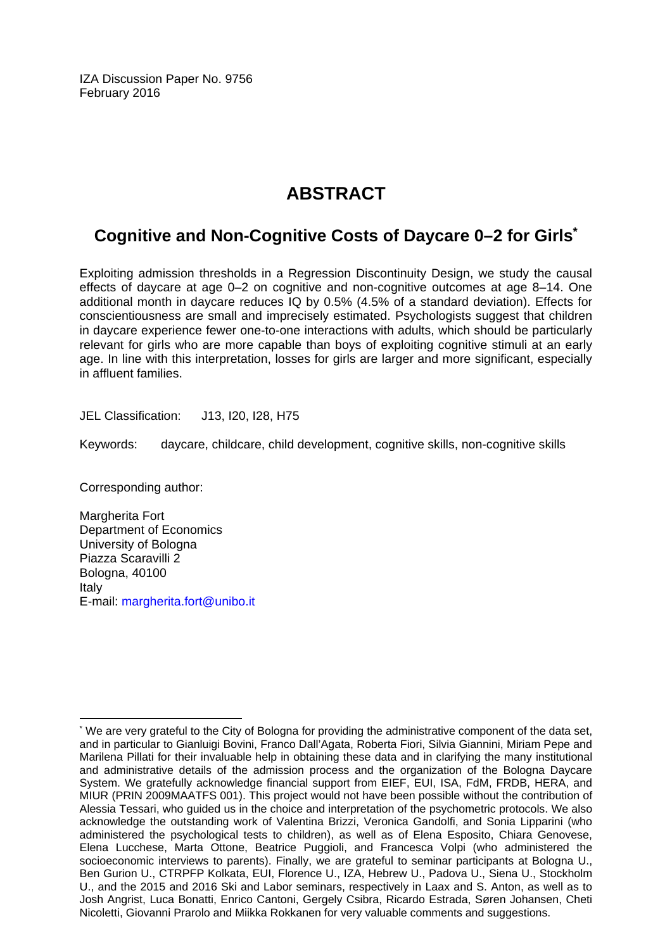IZA Discussion Paper No. 9756 February 2016

## **ABSTRACT**

### **Cognitive and Non-Cognitive Costs of Daycare 0–2 for Girls\***

Exploiting admission thresholds in a Regression Discontinuity Design, we study the causal effects of daycare at age 0–2 on cognitive and non-cognitive outcomes at age 8–14. One additional month in daycare reduces IQ by 0.5% (4.5% of a standard deviation). Effects for conscientiousness are small and imprecisely estimated. Psychologists suggest that children in daycare experience fewer one-to-one interactions with adults, which should be particularly relevant for girls who are more capable than boys of exploiting cognitive stimuli at an early age. In line with this interpretation, losses for girls are larger and more significant, especially in affluent families.

JEL Classification: J13, I20, I28, H75

Keywords: daycare, childcare, child development, cognitive skills, non-cognitive skills

Corresponding author:

 $\overline{a}$ 

Margherita Fort Department of Economics University of Bologna Piazza Scaravilli 2 Bologna, 40100 Italy E-mail: margherita.fort@unibo.it

<sup>\*</sup> We are very grateful to the City of Bologna for providing the administrative component of the data set, and in particular to Gianluigi Bovini, Franco Dall'Agata, Roberta Fiori, Silvia Giannini, Miriam Pepe and Marilena Pillati for their invaluable help in obtaining these data and in clarifying the many institutional and administrative details of the admission process and the organization of the Bologna Daycare System. We gratefully acknowledge financial support from EIEF, EUI, ISA, FdM, FRDB, HERA, and MIUR (PRIN 2009MAATFS 001). This project would not have been possible without the contribution of Alessia Tessari, who guided us in the choice and interpretation of the psychometric protocols. We also acknowledge the outstanding work of Valentina Brizzi, Veronica Gandolfi, and Sonia Lipparini (who administered the psychological tests to children), as well as of Elena Esposito, Chiara Genovese, Elena Lucchese, Marta Ottone, Beatrice Puggioli, and Francesca Volpi (who administered the socioeconomic interviews to parents). Finally, we are grateful to seminar participants at Bologna U., Ben Gurion U., CTRPFP Kolkata, EUI, Florence U., IZA, Hebrew U., Padova U., Siena U., Stockholm U., and the 2015 and 2016 Ski and Labor seminars, respectively in Laax and S. Anton, as well as to Josh Angrist, Luca Bonatti, Enrico Cantoni, Gergely Csibra, Ricardo Estrada, Søren Johansen, Cheti Nicoletti, Giovanni Prarolo and Miikka Rokkanen for very valuable comments and suggestions.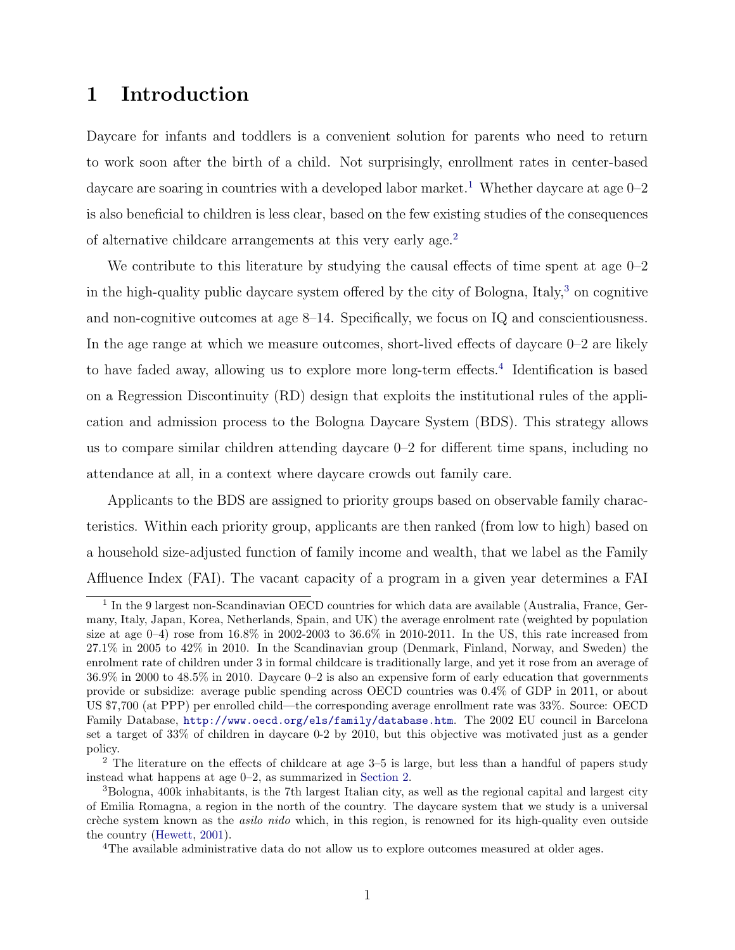### 1 Introduction

Daycare for infants and toddlers is a convenient solution for parents who need to return to work soon after the birth of a child. Not surprisingly, enrollment rates in center-based daycare are soaring in countries with a developed labor market.<sup>[1](#page-3-0)</sup> Whether daycare at age  $0-2$ is also beneficial to children is less clear, based on the few existing studies of the consequences of alternative childcare arrangements at this very early age.[2](#page-3-1)

We contribute to this literature by studying the causal effects of time spent at age  $0-2$ in the high-quality public daycare system offered by the city of Bologna, Italy, $3$  on cognitive and non-cognitive outcomes at age 8–14. Specifically, we focus on IQ and conscientiousness. In the age range at which we measure outcomes, short-lived effects of daycare  $0-2$  are likely to have faded away, allowing us to explore more long-term effects.<sup>[4](#page-3-3)</sup> Identification is based on a Regression Discontinuity (RD) design that exploits the institutional rules of the application and admission process to the Bologna Daycare System (BDS). This strategy allows us to compare similar children attending daycare  $0-2$  for different time spans, including no attendance at all, in a context where daycare crowds out family care.

Applicants to the BDS are assigned to priority groups based on observable family characteristics. Within each priority group, applicants are then ranked (from low to high) based on a household size-adjusted function of family income and wealth, that we label as the Family Affluence Index (FAI). The vacant capacity of a program in a given year determines a FAI

<span id="page-3-0"></span><sup>&</sup>lt;sup>1</sup> In the 9 largest non-Scandinavian OECD countries for which data are available (Australia, France, Germany, Italy, Japan, Korea, Netherlands, Spain, and UK) the average enrolment rate (weighted by population size at age  $0-4$ ) rose from  $16.8\%$  in  $2002-2003$  to  $36.6\%$  in  $2010-2011$ . In the US, this rate increased from 27.1% in 2005 to 42% in 2010. In the Scandinavian group (Denmark, Finland, Norway, and Sweden) the enrolment rate of children under 3 in formal childcare is traditionally large, and yet it rose from an average of 36.9% in 2000 to 48.5% in 2010. Daycare 0–2 is also an expensive form of early education that governments provide or subsidize: average public spending across OECD countries was 0.4% of GDP in 2011, or about US \$7,700 (at PPP) per enrolled child—the corresponding average enrollment rate was 33%. Source: OECD Family Database, <http://www.oecd.org/els/family/database.htm>. The 2002 EU council in Barcelona set a target of 33% of children in daycare 0-2 by 2010, but this objective was motivated just as a gender policy.

<span id="page-3-1"></span><sup>&</sup>lt;sup>2</sup> The literature on the effects of childcare at age  $3-5$  is large, but less than a handful of papers study instead what happens at age 0–2, as summarized in [Section 2.](#page-6-0)

<span id="page-3-2"></span><sup>3</sup>Bologna, 400k inhabitants, is the 7th largest Italian city, as well as the regional capital and largest city of Emilia Romagna, a region in the north of the country. The daycare system that we study is a universal crèche system known as the *asilo nido* which, in this region, is renowned for its high-quality even outside the country [\(Hewett,](#page-32-0) [2001\)](#page-32-0).

<span id="page-3-3"></span><sup>&</sup>lt;sup>4</sup>The available administrative data do not allow us to explore outcomes measured at older ages.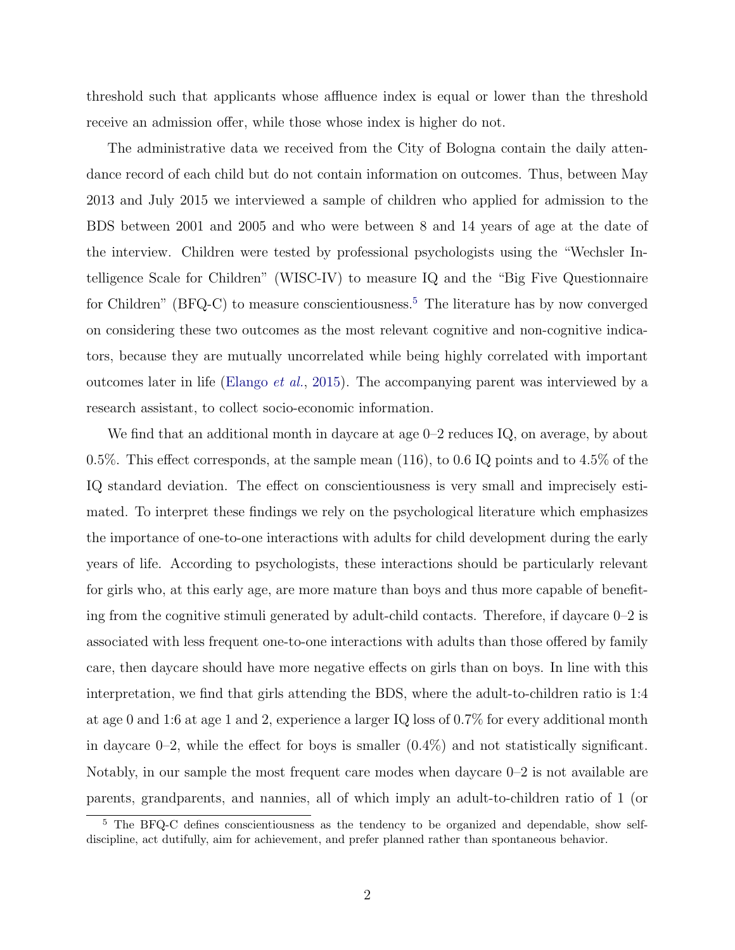threshold such that applicants whose affluence index is equal or lower than the threshold receive an admission offer, while those whose index is higher do not.

The administrative data we received from the City of Bologna contain the daily attendance record of each child but do not contain information on outcomes. Thus, between May 2013 and July 2015 we interviewed a sample of children who applied for admission to the BDS between 2001 and 2005 and who were between 8 and 14 years of age at the date of the interview. Children were tested by professional psychologists using the "Wechsler Intelligence Scale for Children" (WISC-IV) to measure IQ and the "Big Five Questionnaire for Children" (BFQ-C) to measure conscientiousness.<sup>[5](#page-4-0)</sup> The literature has by now converged on considering these two outcomes as the most relevant cognitive and non-cognitive indicators, because they are mutually uncorrelated while being highly correlated with important outcomes later in life [\(Elango](#page-31-0) *et al.*, [2015\)](#page-31-0). The accompanying parent was interviewed by a research assistant, to collect socio-economic information.

We find that an additional month in daycare at age 0–2 reduces IQ, on average, by about 0.5%. This effect corresponds, at the sample mean  $(116)$ , to 0.6 IQ points and to 4.5% of the IQ standard deviation. The effect on conscientiousness is very small and imprecisely estimated. To interpret these findings we rely on the psychological literature which emphasizes the importance of one-to-one interactions with adults for child development during the early years of life. According to psychologists, these interactions should be particularly relevant for girls who, at this early age, are more mature than boys and thus more capable of benefiting from the cognitive stimuli generated by adult-child contacts. Therefore, if daycare 0–2 is associated with less frequent one-to-one interactions with adults than those offered by family care, then daycare should have more negative effects on girls than on boys. In line with this interpretation, we find that girls attending the BDS, where the adult-to-children ratio is 1:4 at age 0 and 1:6 at age 1 and 2, experience a larger IQ loss of 0.7% for every additional month in daycare  $0-2$ , while the effect for boys is smaller  $(0.4\%)$  and not statistically significant. Notably, in our sample the most frequent care modes when daycare 0–2 is not available are parents, grandparents, and nannies, all of which imply an adult-to-children ratio of 1 (or

<span id="page-4-0"></span><sup>&</sup>lt;sup>5</sup> The BFQ-C defines conscientiousness as the tendency to be organized and dependable, show selfdiscipline, act dutifully, aim for achievement, and prefer planned rather than spontaneous behavior.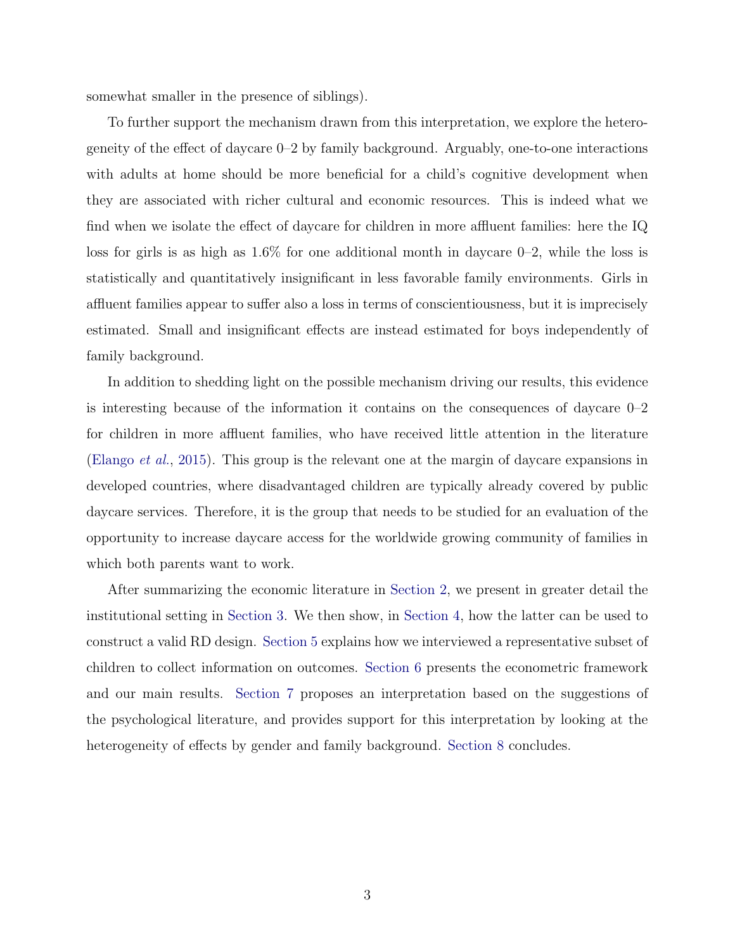somewhat smaller in the presence of siblings).

To further support the mechanism drawn from this interpretation, we explore the heterogeneity of the effect of daycare  $0-2$  by family background. Arguably, one-to-one interactions with adults at home should be more beneficial for a child's cognitive development when they are associated with richer cultural and economic resources. This is indeed what we find when we isolate the effect of daycare for children in more affluent families: here the  $IQ$ loss for girls is as high as  $1.6\%$  for one additional month in daycare 0–2, while the loss is statistically and quantitatively insignificant in less favorable family environments. Girls in affluent families appear to suffer also a loss in terms of conscientiousness, but it is imprecisely estimated. Small and insignificant effects are instead estimated for boys independently of family background.

In addition to shedding light on the possible mechanism driving our results, this evidence is interesting because of the information it contains on the consequences of daycare 0–2 for children in more affluent families, who have received little attention in the literature [\(Elango](#page-31-0) *et al.*, [2015\)](#page-31-0). This group is the relevant one at the margin of daycare expansions in developed countries, where disadvantaged children are typically already covered by public daycare services. Therefore, it is the group that needs to be studied for an evaluation of the opportunity to increase daycare access for the worldwide growing community of families in which both parents want to work.

After summarizing the economic literature in [Section 2,](#page-6-0) we present in greater detail the institutional setting in [Section 3.](#page-9-0) We then show, in [Section 4,](#page-12-0) how the latter can be used to construct a valid RD design. [Section 5](#page-15-0) explains how we interviewed a representative subset of children to collect information on outcomes. [Section 6](#page-19-0) presents the econometric framework and our main results. [Section 7](#page-21-0) proposes an interpretation based on the suggestions of the psychological literature, and provides support for this interpretation by looking at the heterogeneity of effects by gender and family background. [Section 8](#page-25-0) concludes.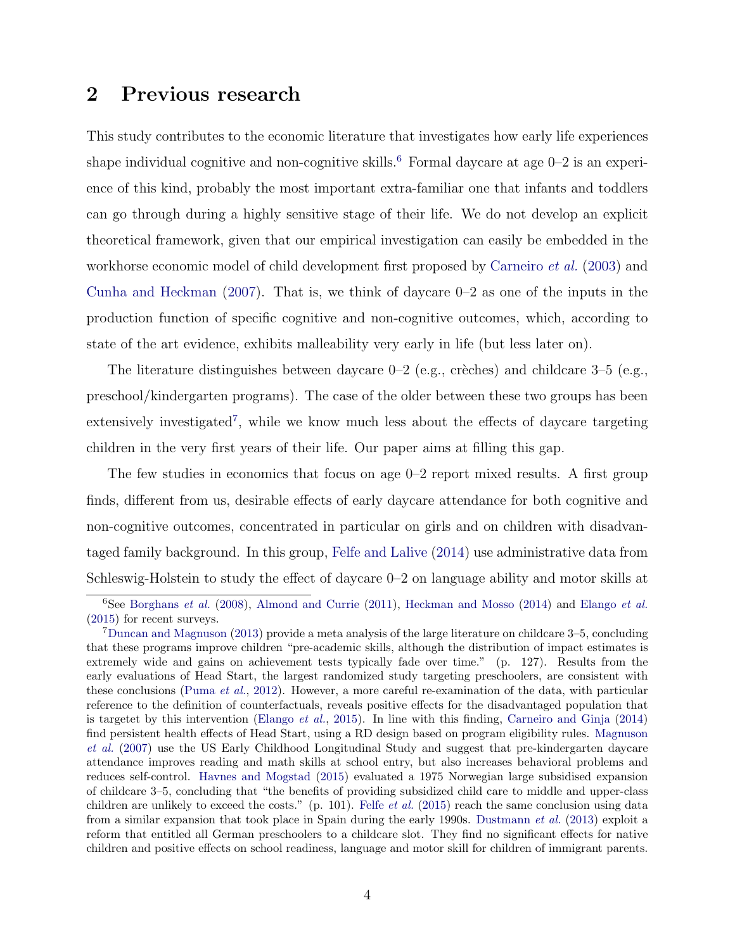### <span id="page-6-0"></span>2 Previous research

This study contributes to the economic literature that investigates how early life experiences shape individual cognitive and non-cognitive skills.<sup>[6](#page-6-1)</sup> Formal daycare at age  $0-2$  is an experience of this kind, probably the most important extra-familiar one that infants and toddlers can go through during a highly sensitive stage of their life. We do not develop an explicit theoretical framework, given that our empirical investigation can easily be embedded in the workhorse economic model of child development first proposed by [Carneiro](#page-30-0) *et al.* [\(2003\)](#page-30-0) and [Cunha and Heckman](#page-30-1) [\(2007\)](#page-30-1). That is, we think of daycare 0–2 as one of the inputs in the production function of specific cognitive and non-cognitive outcomes, which, according to state of the art evidence, exhibits malleability very early in life (but less later on).

The literature distinguishes between daycare  $0-2$  (e.g., crèches) and childcare  $3-5$  (e.g., preschool/kindergarten programs). The case of the older between these two groups has been extensively investigated<sup>[7](#page-6-2)</sup>, while we know much less about the effects of daycare targeting children in the very first years of their life. Our paper aims at filling this gap.

The few studies in economics that focus on age 0–2 report mixed results. A first group finds, different from us, desirable effects of early daycare attendance for both cognitive and non-cognitive outcomes, concentrated in particular on girls and on children with disadvantaged family background. In this group, [Felfe and Lalive](#page-31-1) [\(2014\)](#page-31-1) use administrative data from Schleswig-Holstein to study the effect of daycare  $0-2$  on language ability and motor skills at

<span id="page-6-1"></span><sup>6</sup>See [Borghans](#page-29-0) *et al.* [\(2008\)](#page-29-0), [Almond and Currie](#page-29-1) [\(2011\)](#page-29-1), [Heckman and Mosso](#page-31-2) [\(2014\)](#page-31-2) and [Elango](#page-31-0) *et al.* [\(2015\)](#page-31-0) for recent surveys.

<span id="page-6-2"></span><sup>7</sup>[Duncan and Magnuson](#page-31-3) [\(2013\)](#page-31-3) provide a meta analysis of the large literature on childcare 3–5, concluding that these programs improve children "pre-academic skills, although the distribution of impact estimates is extremely wide and gains on achievement tests typically fade over time." (p. 127). Results from the early evaluations of Head Start, the largest randomized study targeting preschoolers, are consistent with these conclusions [\(Puma](#page-32-1) *et al.*, [2012\)](#page-32-1). However, a more careful re-examination of the data, with particular reference to the definition of counterfactuals, reveals positive effects for the disadvantaged population that is targetet by this intervention [\(Elango](#page-31-0) *et al.*, [2015\)](#page-31-0). In line with this finding, [Carneiro and Ginja](#page-30-2) [\(2014\)](#page-30-2) find persistent health effects of Head Start, using a RD design based on program eligibility rules. [Magnuson](#page-32-2) *[et al.](#page-32-2)* [\(2007\)](#page-32-2) use the US Early Childhood Longitudinal Study and suggest that pre-kindergarten daycare attendance improves reading and math skills at school entry, but also increases behavioral problems and reduces self-control. [Havnes and Mogstad](#page-31-4) [\(2015\)](#page-31-4) evaluated a 1975 Norwegian large subsidised expansion of childcare 3–5, concluding that "the benefits of providing subsidized child care to middle and upper-class children are unlikely to exceed the costs." (p. 101). Felfe *[et al.](#page-31-5)* [\(2015\)](#page-31-5) reach the same conclusion using data from a similar expansion that took place in Spain during the early 1990s. [Dustmann](#page-31-6) *et al.* [\(2013\)](#page-31-6) exploit a reform that entitled all German preschoolers to a childcare slot. They find no significant effects for native children and positive effects on school readiness, language and motor skill for children of immigrant parents.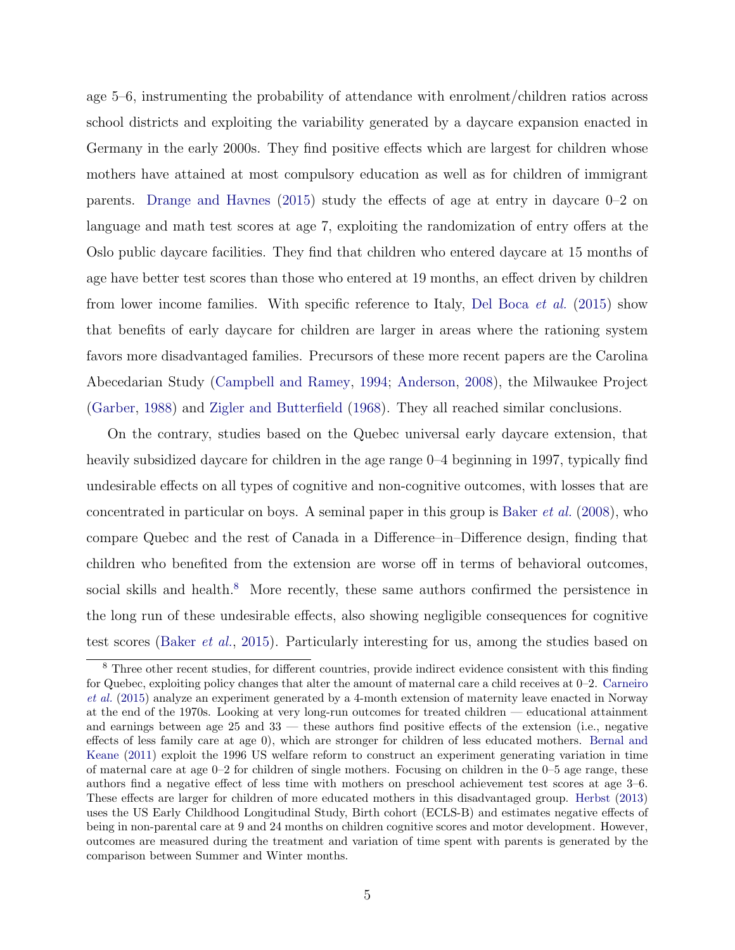age 5–6, instrumenting the probability of attendance with enrolment/children ratios across school districts and exploiting the variability generated by a daycare expansion enacted in Germany in the early 2000s. They find positive effects which are largest for children whose mothers have attained at most compulsory education as well as for children of immigrant parents. [Drange and Havnes](#page-31-7) [\(2015\)](#page-31-7) study the effects of age at entry in daycare  $0-2$  on language and math test scores at age 7, exploiting the randomization of entry offers at the Oslo public daycare facilities. They find that children who entered daycare at 15 months of age have better test scores than those who entered at 19 months, an effect driven by children from lower income families. With specific reference to Italy, [Del Boca](#page-30-3) *et al.* [\(2015\)](#page-30-3) show that benefits of early daycare for children are larger in areas where the rationing system favors more disadvantaged families. Precursors of these more recent papers are the Carolina Abecedarian Study [\(Campbell and Ramey,](#page-30-4) [1994;](#page-30-4) [Anderson,](#page-29-2) [2008\)](#page-29-2), the Milwaukee Project [\(Garber,](#page-31-8) [1988\)](#page-31-8) and [Zigler and Butterfield](#page-32-3) [\(1968\)](#page-32-3). They all reached similar conclusions.

On the contrary, studies based on the Quebec universal early daycare extension, that heavily subsidized daycare for children in the age range 0–4 beginning in 1997, typically find undesirable effects on all types of cognitive and non-cognitive outcomes, with losses that are concentrated in particular on boys. A seminal paper in this group is [Baker](#page-29-3) *et al.* [\(2008\)](#page-29-3), who compare Quebec and the rest of Canada in a Difference–in–Difference design, finding that children who benefited from the extension are worse off in terms of behavioral outcomes, social skills and health.<sup>[8](#page-7-0)</sup> More recently, these same authors confirmed the persistence in the long run of these undesirable effects, also showing negligible consequences for cognitive test scores [\(Baker](#page-29-4) *et al.*, [2015\)](#page-29-4). Particularly interesting for us, among the studies based on

<span id="page-7-0"></span><sup>&</sup>lt;sup>8</sup> Three other recent studies, for different countries, provide indirect evidence consistent with this finding for Quebec, exploiting policy changes that alter the amount of maternal care a child receives at 0–2. [Carneiro](#page-30-5) *[et al.](#page-30-5)* [\(2015\)](#page-30-5) analyze an experiment generated by a 4-month extension of maternity leave enacted in Norway at the end of the 1970s. Looking at very long-run outcomes for treated children — educational attainment and earnings between age  $25$  and  $33$  — these authors find positive effects of the extension (i.e., negative effects of less family care at age  $(0)$ , which are stronger for children of less educated mothers. [Bernal and](#page-29-5) [Keane](#page-29-5) [\(2011\)](#page-29-5) exploit the 1996 US welfare reform to construct an experiment generating variation in time of maternal care at age 0–2 for children of single mothers. Focusing on children in the 0–5 age range, these authors find a negative effect of less time with mothers on preschool achievement test scores at age 3–6. These effects are larger for children of more educated mothers in this disadvantaged group. [Herbst](#page-32-4) [\(2013\)](#page-32-4) uses the US Early Childhood Longitudinal Study, Birth cohort (ECLS-B) and estimates negative effects of being in non-parental care at 9 and 24 months on children cognitive scores and motor development. However, outcomes are measured during the treatment and variation of time spent with parents is generated by the comparison between Summer and Winter months.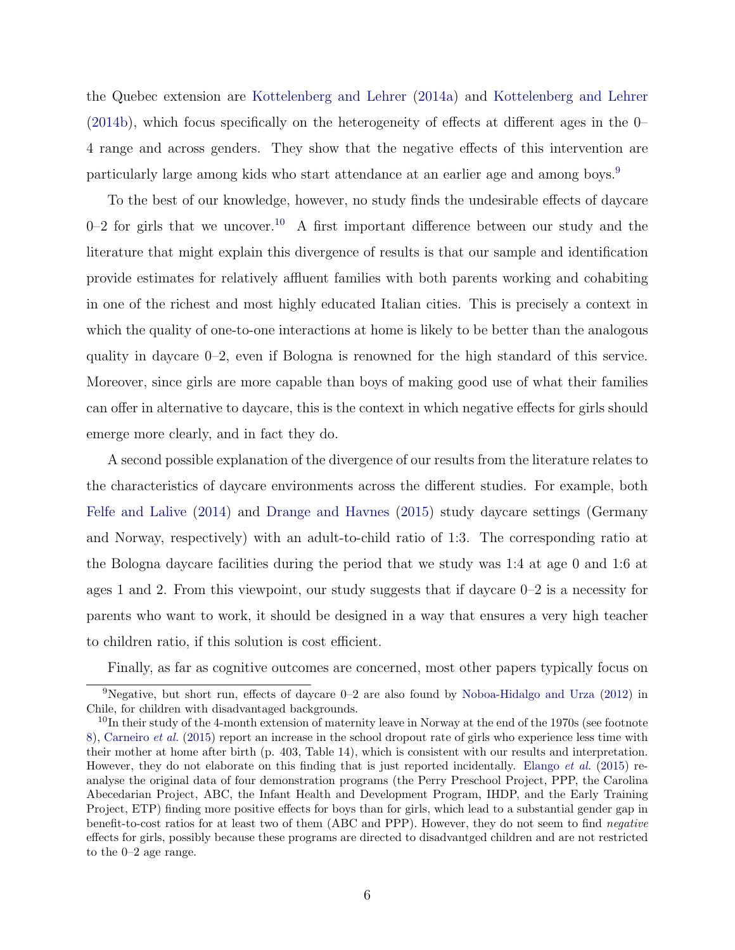the Quebec extension are [Kottelenberg and Lehrer](#page-32-5) [\(2014a\)](#page-32-5) and [Kottelenberg and Lehrer](#page-32-6)  $(2014b)$ , which focus specifically on the heterogeneity of effects at different ages in the 0– 4 range and across genders. They show that the negative effects of this intervention are particularly large among kids who start attendance at an earlier age and among boys.[9](#page-8-0)

To the best of our knowledge, however, no study finds the undesirable effects of daycare 0–2 for girls that we uncover.<sup>[10](#page-8-1)</sup> A first important difference between our study and the literature that might explain this divergence of results is that our sample and identification provide estimates for relatively affluent families with both parents working and cohabiting in one of the richest and most highly educated Italian cities. This is precisely a context in which the quality of one-to-one interactions at home is likely to be better than the analogous quality in daycare 0–2, even if Bologna is renowned for the high standard of this service. Moreover, since girls are more capable than boys of making good use of what their families can offer in alternative to daycare, this is the context in which negative effects for girls should emerge more clearly, and in fact they do.

A second possible explanation of the divergence of our results from the literature relates to the characteristics of daycare environments across the different studies. For example, both [Felfe and Lalive](#page-31-1) [\(2014\)](#page-31-1) and [Drange and Havnes](#page-31-7) [\(2015\)](#page-31-7) study daycare settings (Germany and Norway, respectively) with an adult-to-child ratio of 1:3. The corresponding ratio at the Bologna daycare facilities during the period that we study was 1:4 at age 0 and 1:6 at ages 1 and 2. From this viewpoint, our study suggests that if daycare 0–2 is a necessity for parents who want to work, it should be designed in a way that ensures a very high teacher to children ratio, if this solution is cost efficient.

<span id="page-8-0"></span>Finally, as far as cognitive outcomes are concerned, most other papers typically focus on

<sup>&</sup>lt;sup>9</sup>Negative, but short run, effects of daycare  $0-2$  are also found by [Noboa-Hidalgo and Urza](#page-32-7) [\(2012\)](#page-32-7) in Chile, for children with disadvantaged backgrounds.

<span id="page-8-1"></span> $10$ In their study of the 4-month extension of maternity leave in Norway at the end of the 1970s (see footnote [8\)](#page-7-0), [Carneiro](#page-30-5) *et al.* [\(2015\)](#page-30-5) report an increase in the school dropout rate of girls who experience less time with their mother at home after birth (p. 403, Table 14), which is consistent with our results and interpretation. However, they do not elaborate on this finding that is just reported incidentally. [Elango](#page-31-0) *et al.* [\(2015\)](#page-31-0) reanalyse the original data of four demonstration programs (the Perry Preschool Project, PPP, the Carolina Abecedarian Project, ABC, the Infant Health and Development Program, IHDP, and the Early Training Project, ETP) finding more positive effects for boys than for girls, which lead to a substantial gender gap in benefit-to-cost ratios for at least two of them (ABC and PPP). However, they do not seem to find *negative* effects for girls, possibly because these programs are directed to disadvantged children and are not restricted to the 0–2 age range.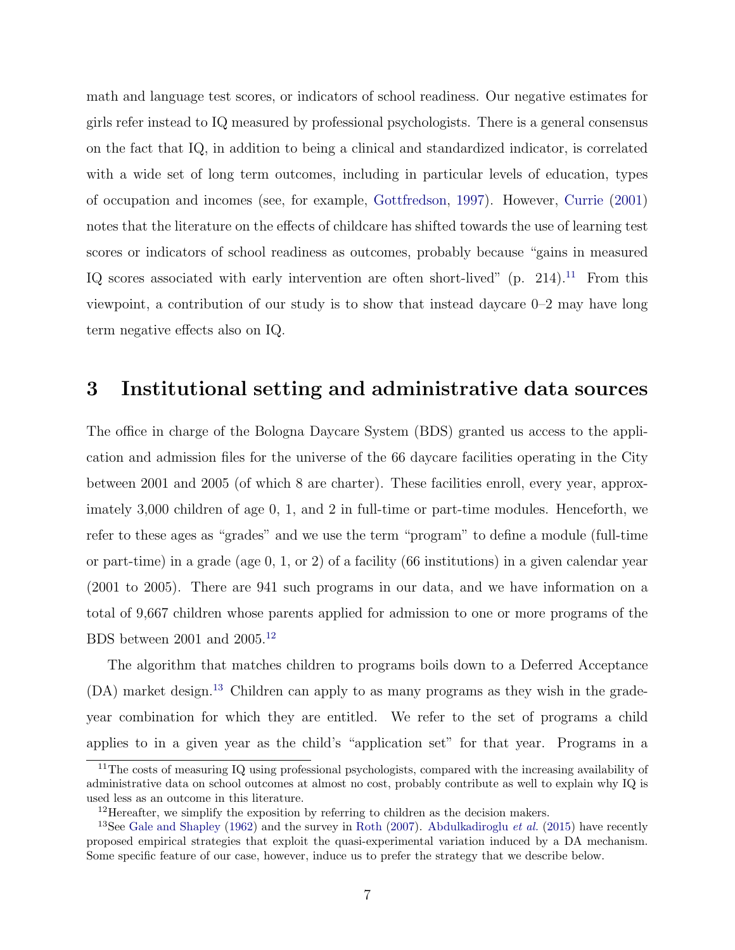math and language test scores, or indicators of school readiness. Our negative estimates for girls refer instead to IQ measured by professional psychologists. There is a general consensus on the fact that IQ, in addition to being a clinical and standardized indicator, is correlated with a wide set of long term outcomes, including in particular levels of education, types of occupation and incomes (see, for example, [Gottfredson,](#page-31-9) [1997\)](#page-31-9). However, [Currie](#page-30-6) [\(2001\)](#page-30-6) notes that the literature on the effects of childcare has shifted towards the use of learning test scores or indicators of school readiness as outcomes, probably because "gains in measured IQ scores associated with early intervention are often short-lived" (p. 214).<sup>[11](#page-9-1)</sup> From this viewpoint, a contribution of our study is to show that instead daycare 0–2 may have long term negative effects also on IQ.

#### <span id="page-9-0"></span>3 Institutional setting and administrative data sources

The office in charge of the Bologna Daycare System (BDS) granted us access to the application and admission files for the universe of the 66 daycare facilities operating in the City between 2001 and 2005 (of which 8 are charter). These facilities enroll, every year, approximately 3,000 children of age 0, 1, and 2 in full-time or part-time modules. Henceforth, we refer to these ages as "grades" and we use the term "program" to define a module (full-time or part-time) in a grade (age 0, 1, or 2) of a facility (66 institutions) in a given calendar year (2001 to 2005). There are 941 such programs in our data, and we have information on a total of 9,667 children whose parents applied for admission to one or more programs of the BDS between 2001 and 2005.<sup>[12](#page-9-2)</sup>

The algorithm that matches children to programs boils down to a Deferred Acceptance  $(DA)$  market design.<sup>[13](#page-9-3)</sup> Children can apply to as many programs as they wish in the gradeyear combination for which they are entitled. We refer to the set of programs a child applies to in a given year as the child's "application set" for that year. Programs in a

<span id="page-9-1"></span> $11$ The costs of measuring IQ using professional psychologists, compared with the increasing availability of administrative data on school outcomes at almost no cost, probably contribute as well to explain why IQ is used less as an outcome in this literature.

<span id="page-9-3"></span><span id="page-9-2"></span> $12$ Hereafter, we simplify the exposition by referring to children as the decision makers.

<sup>13</sup>See [Gale and Shapley](#page-31-10) [\(1962\)](#page-31-10) and the survey in [Roth](#page-32-8) [\(2007\)](#page-32-8). [Abdulkadiroglu](#page-29-6) *et al.* [\(2015\)](#page-29-6) have recently proposed empirical strategies that exploit the quasi-experimental variation induced by a DA mechanism. Some specific feature of our case, however, induce us to prefer the strategy that we describe below.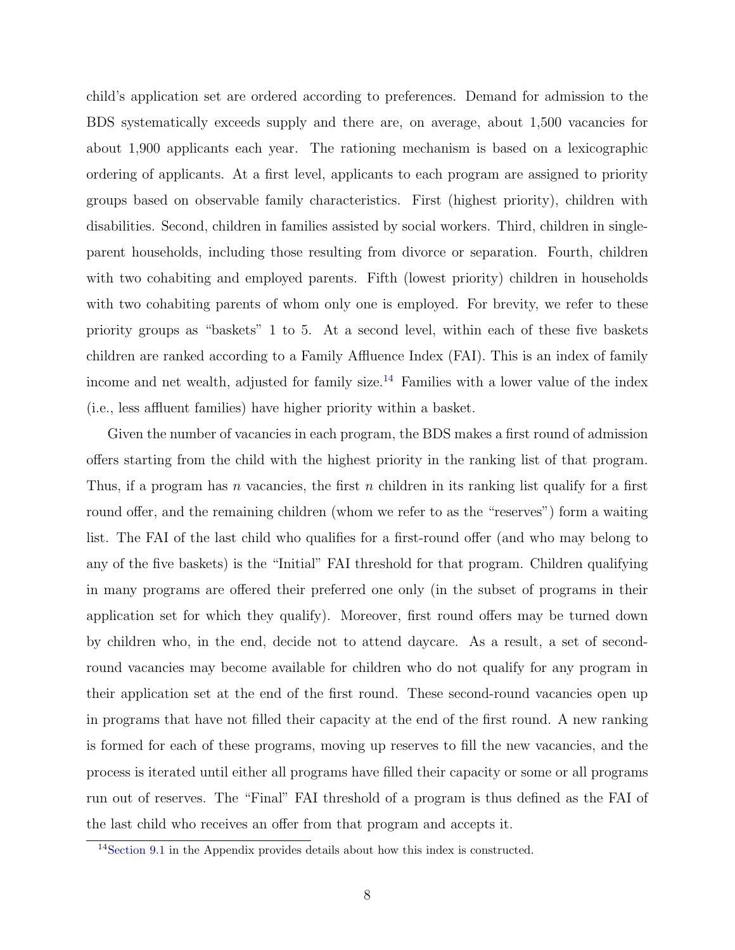child's application set are ordered according to preferences. Demand for admission to the BDS systematically exceeds supply and there are, on average, about 1,500 vacancies for about 1,900 applicants each year. The rationing mechanism is based on a lexicographic ordering of applicants. At a first level, applicants to each program are assigned to priority groups based on observable family characteristics. First (highest priority), children with disabilities. Second, children in families assisted by social workers. Third, children in singleparent households, including those resulting from divorce or separation. Fourth, children with two cohabiting and employed parents. Fifth (lowest priority) children in households with two cohabiting parents of whom only one is employed. For brevity, we refer to these priority groups as "baskets" 1 to 5. At a second level, within each of these five baskets children are ranked according to a Family Affluence Index (FAI). This is an index of family income and net wealth, adjusted for family size.<sup>[14](#page-10-0)</sup> Families with a lower value of the index (i.e., less affluent families) have higher priority within a basket.

Given the number of vacancies in each program, the BDS makes a first round of admission offers starting from the child with the highest priority in the ranking list of that program. Thus, if a program has *n* vacancies, the first *n* children in its ranking list qualify for a first round offer, and the remaining children (whom we refer to as the "reserves") form a waiting list. The FAI of the last child who qualifies for a first-round offer (and who may belong to any of the five baskets) is the "Initial" FAI threshold for that program. Children qualifying in many programs are offered their preferred one only (in the subset of programs in their application set for which they qualify). Moreover, first round offers may be turned down by children who, in the end, decide not to attend daycare. As a result, a set of secondround vacancies may become available for children who do not qualify for any program in their application set at the end of the first round. These second-round vacancies open up in programs that have not filled their capacity at the end of the first round. A new ranking is formed for each of these programs, moving up reserves to fill the new vacancies, and the process is iterated until either all programs have filled their capacity or some or all programs run out of reserves. The "Final" FAI threshold of a program is thus defined as the FAI of the last child who receives an offer from that program and accepts it.

<span id="page-10-0"></span><sup>14</sup>[Section 9.1](#page-27-0) in the Appendix provides details about how this index is constructed.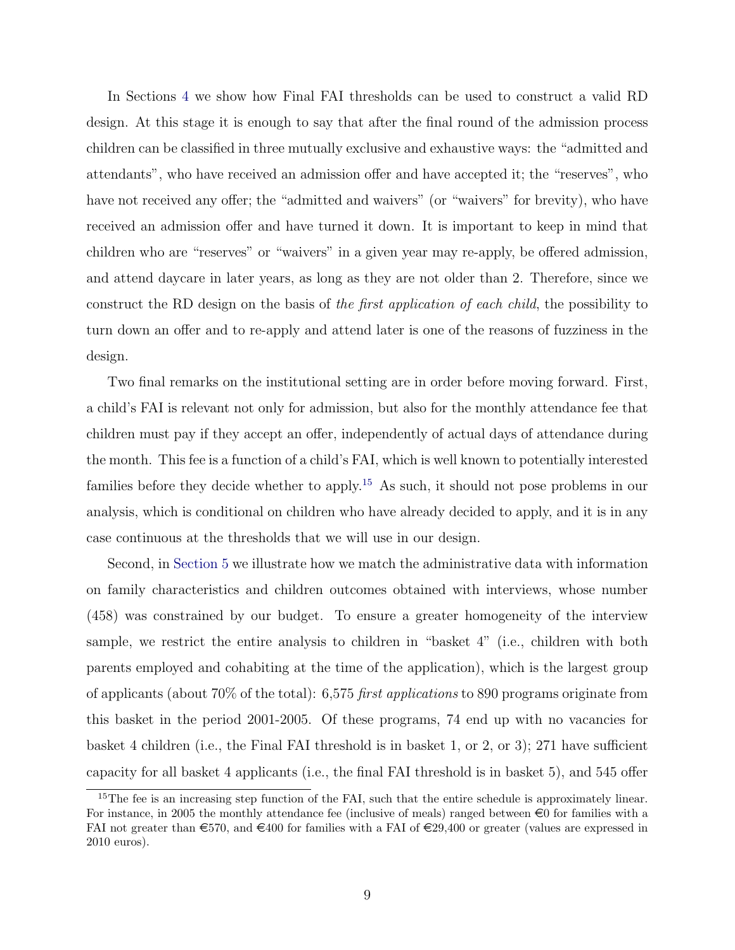In Sections [4](#page-12-0) we show how Final FAI thresholds can be used to construct a valid RD design. At this stage it is enough to say that after the final round of the admission process children can be classified in three mutually exclusive and exhaustive ways: the "admitted and attendants", who have received an admission offer and have accepted it; the "reserves", who have not received any offer; the "admitted and waivers" (or "waivers" for brevity), who have received an admission offer and have turned it down. It is important to keep in mind that children who are "reserves" or "waivers" in a given year may re-apply, be offered admission, and attend daycare in later years, as long as they are not older than 2. Therefore, since we construct the RD design on the basis of *the first application of each child*, the possibility to turn down an offer and to re-apply and attend later is one of the reasons of fuzziness in the design.

Two final remarks on the institutional setting are in order before moving forward. First, a child's FAI is relevant not only for admission, but also for the monthly attendance fee that children must pay if they accept an offer, independently of actual days of attendance during the month. This fee is a function of a child's FAI, which is well known to potentially interested families before they decide whether to apply.<sup>[15](#page-11-0)</sup> As such, it should not pose problems in our analysis, which is conditional on children who have already decided to apply, and it is in any case continuous at the thresholds that we will use in our design.

Second, in [Section 5](#page-15-0) we illustrate how we match the administrative data with information on family characteristics and children outcomes obtained with interviews, whose number (458) was constrained by our budget. To ensure a greater homogeneity of the interview sample, we restrict the entire analysis to children in "basket 4" (i.e., children with both parents employed and cohabiting at the time of the application), which is the largest group of applicants (about 70% of the total): 6,575 *first applications* to 890 programs originate from this basket in the period 2001-2005. Of these programs, 74 end up with no vacancies for basket 4 children (i.e., the Final FAI threshold is in basket 1, or 2, or 3); 271 have sufficient capacity for all basket 4 applicants (i.e., the final FAI threshold is in basket 5), and 545 offer

<span id="page-11-0"></span><sup>&</sup>lt;sup>15</sup>The fee is an increasing step function of the FAI, such that the entire schedule is approximately linear. For instance, in 2005 the monthly attendance fee (inclusive of meals) ranged between  $\epsilon$  for families with a FAI not greater than  $\epsilon$ 570, and  $\epsilon$ 400 for families with a FAI of  $\epsilon$ 29,400 or greater (values are expressed in 2010 euros).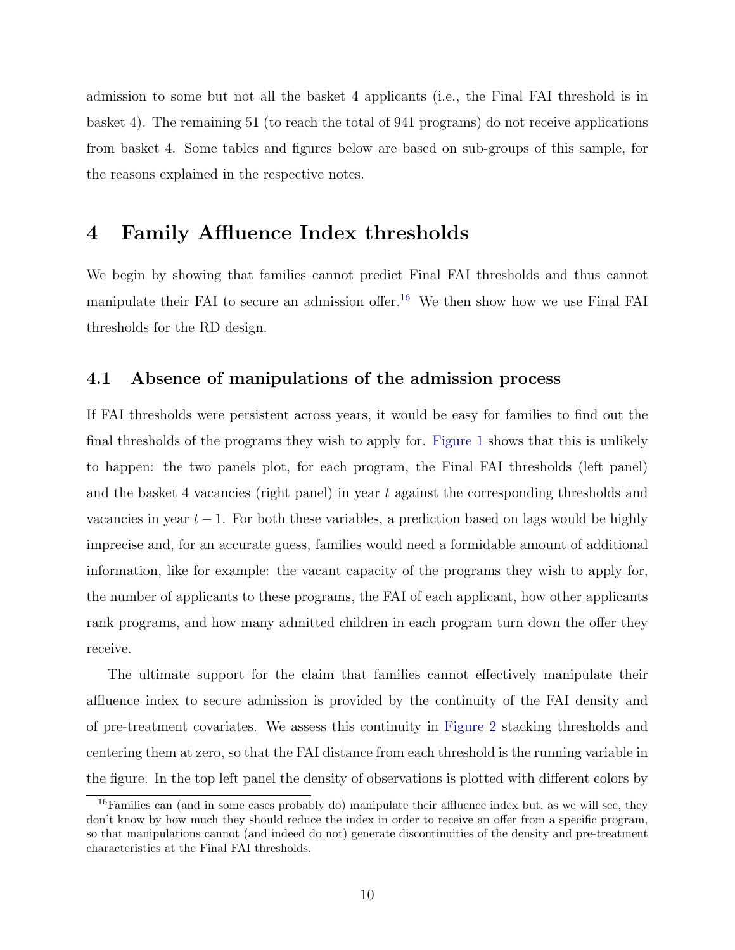admission to some but not all the basket 4 applicants (i.e., the Final FAI threshold is in basket 4). The remaining 51 (to reach the total of 941 programs) do not receive applications from basket 4. Some tables and figures below are based on sub-groups of this sample, for the reasons explained in the respective notes.

#### <span id="page-12-0"></span>4 Family Affluence Index thresholds

We begin by showing that families cannot predict Final FAI thresholds and thus cannot manipulate their FAI to secure an admission offer.<sup>[16](#page-12-1)</sup> We then show how we use Final FAI thresholds for the RD design.

#### 4.1 Absence of manipulations of the admission process

If FAI thresholds were persistent across years, it would be easy for families to find out the final thresholds of the programs they wish to apply for. [Figure 1](#page-33-0) shows that this is unlikely to happen: the two panels plot, for each program, the Final FAI thresholds (left panel) and the basket 4 vacancies (right panel) in year *t* against the corresponding thresholds and vacancies in year  $t-1$ . For both these variables, a prediction based on lags would be highly imprecise and, for an accurate guess, families would need a formidable amount of additional information, like for example: the vacant capacity of the programs they wish to apply for, the number of applicants to these programs, the FAI of each applicant, how other applicants rank programs, and how many admitted children in each program turn down the offer they receive.

The ultimate support for the claim that families cannot effectively manipulate their affluence index to secure admission is provided by the continuity of the FAI density and of pre-treatment covariates. We assess this continuity in [Figure 2](#page-34-0) stacking thresholds and centering them at zero, so that the FAI distance from each threshold is the running variable in the figure. In the top left panel the density of observations is plotted with different colors by

<span id="page-12-1"></span> $16$  Families can (and in some cases probably do) manipulate their affluence index but, as we will see, they don't know by how much they should reduce the index in order to receive an offer from a specific program, so that manipulations cannot (and indeed do not) generate discontinuities of the density and pre-treatment characteristics at the Final FAI thresholds.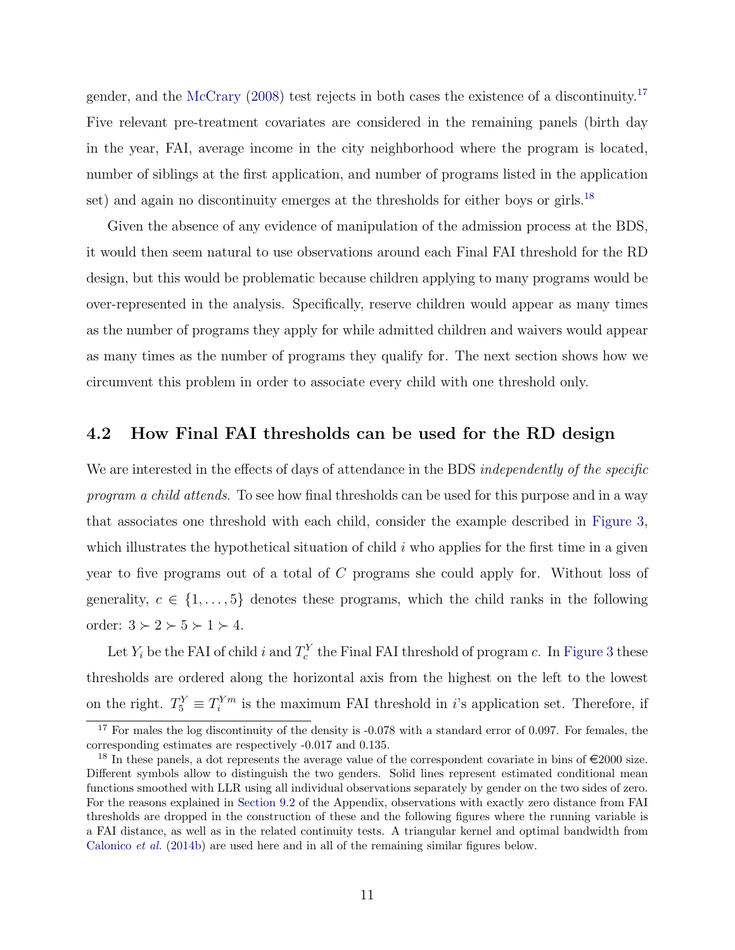gender, and the [McCrary](#page-32-9)  $(2008)$  test rejects in both cases the existence of a discontinuity.<sup>[17](#page-13-0)</sup> Five relevant pre-treatment covariates are considered in the remaining panels (birth day in the year, FAI, average income in the city neighborhood where the program is located, number of siblings at the first application, and number of programs listed in the application set) and again no discontinuity emerges at the thresholds for either boys or girls.<sup>[18](#page-13-1)</sup>

Given the absence of any evidence of manipulation of the admission process at the BDS, it would then seem natural to use observations around each Final FAI threshold for the RD design, but this would be problematic because children applying to many programs would be over-represented in the analysis. Specifically, reserve children would appear as many times as the number of programs they apply for while admitted children and waivers would appear as many times as the number of programs they qualify for. The next section shows how we circumvent this problem in order to associate every child with one threshold only.

#### <span id="page-13-2"></span>4.2 How Final FAI thresholds can be used for the RD design

We are interested in the effects of days of attendance in the BDS *independently of the specific program a child attends*. To see how final thresholds can be used for this purpose and in a way that associates one threshold with each child, consider the example described in [Figure 3,](#page-35-0) which illustrates the hypothetical situation of child *i* who applies for the first time in a given year to five programs out of a total of *C* programs she could apply for. Without loss of generality,  $c \in \{1, \ldots, 5\}$  denotes these programs, which the child ranks in the following order:  $3 \succ 2 \succ 5 \succ 1 \succ 4$ .

Let  $Y_i$  be the FAI of child *i* and  $T_c^Y$  the Final FAI threshold of program *c*. In [Figure 3](#page-35-0) these thresholds are ordered along the horizontal axis from the highest on the left to the lowest on the right.  $T_5^Y \equiv T_i^{Ym}$  is the maximum FAI threshold in *i*'s application set. Therefore, if

<span id="page-13-0"></span><sup>&</sup>lt;sup>17</sup> For males the log discontinuity of the density is -0.078 with a standard error of 0.097. For females, the corresponding estimates are respectively -0.017 and 0.135.

<span id="page-13-1"></span><sup>&</sup>lt;sup>18</sup> In these panels, a dot represents the average value of the correspondent covariate in bins of  $\epsilon$ 2000 size. Different symbols allow to distinguish the two genders. Solid lines represent estimated conditional mean functions smoothed with LLR using all individual observations separately by gender on the two sides of zero. For the reasons explained in [Section 9.2](#page-27-1) of the Appendix, observations with exactly zero distance from FAI thresholds are dropped in the construction of these and the following figures where the running variable is a FAI distance, as well as in the related continuity tests. A triangular kernel and optimal bandwidth from [Calonico](#page-30-7) *et al.* [\(2014b\)](#page-30-7) are used here and in all of the remaining similar figures below.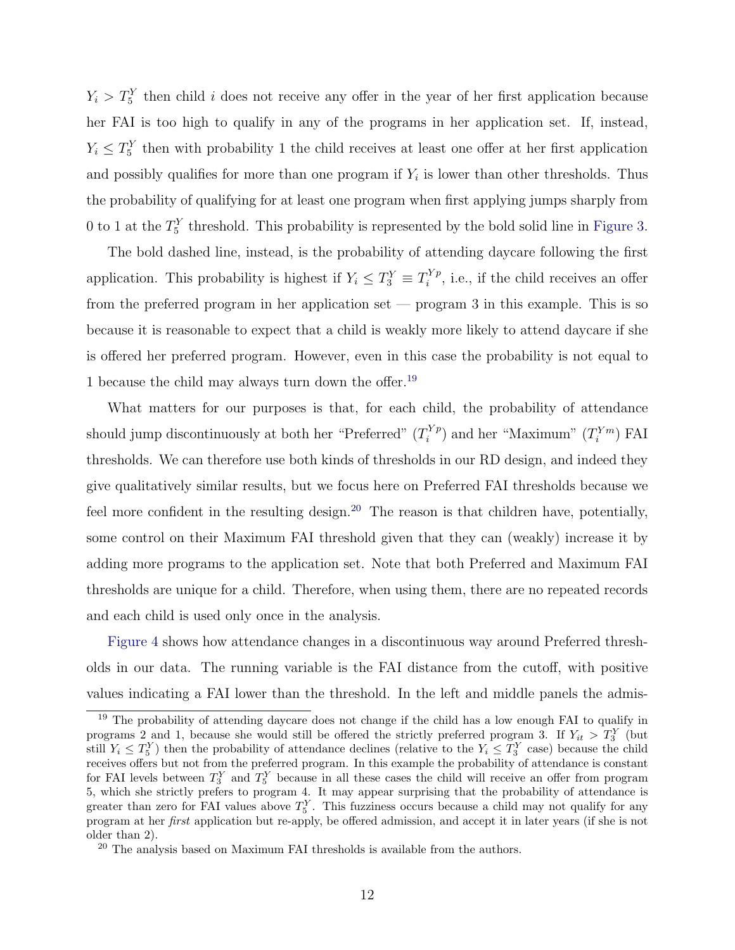$Y_i > T_5^Y$  then child *i* does not receive any offer in the year of her first application because her FAI is too high to qualify in any of the programs in her application set. If, instead,  $Y_i \leq T_5^Y$  then with probability 1 the child receives at least one offer at her first application and possibly qualifies for more than one program if  $Y_i$  is lower than other thresholds. Thus the probability of qualifying for at least one program when first applying jumps sharply from 0 to 1 at the  $T_5^Y$  threshold. This probability is represented by the bold solid line in [Figure 3.](#page-35-0)

The bold dashed line, instead, is the probability of attending daycare following the first application. This probability is highest if  $Y_i \leq T_3^Y \equiv T_i^{Y_p}$ , i.e., if the child receives an offer from the preferred program in her application set — program 3 in this example. This is so because it is reasonable to expect that a child is weakly more likely to attend daycare if she is offered her preferred program. However, even in this case the probability is not equal to 1 because the child may always turn down the offer.<sup>[19](#page-14-0)</sup>

What matters for our purposes is that, for each child, the probability of attendance should jump discontinuously at both her "Preferred"  $(T_i^{Yp})$  and her "Maximum"  $(T_i^{Ym})$  FAI thresholds. We can therefore use both kinds of thresholds in our RD design, and indeed they give qualitatively similar results, but we focus here on Preferred FAI thresholds because we feel more confident in the resulting design.<sup>[20](#page-14-1)</sup> The reason is that children have, potentially, some control on their Maximum FAI threshold given that they can (weakly) increase it by adding more programs to the application set. Note that both Preferred and Maximum FAI thresholds are unique for a child. Therefore, when using them, there are no repeated records and each child is used only once in the analysis.

[Figure 4](#page-36-0) shows how attendance changes in a discontinuous way around Preferred thresholds in our data. The running variable is the FAI distance from the cutoff, with positive values indicating a FAI lower than the threshold. In the left and middle panels the admis-

<span id="page-14-0"></span><sup>&</sup>lt;sup>19</sup> The probability of attending daycare does not change if the child has a low enough FAI to qualify in programs 2 and 1, because she would still be offered the strictly preferred program 3. If  $Y_{it} > T_3^Y$  (but still  $Y_i \leq T_5^Y$  then the probability of attendance declines (relative to the  $Y_i \leq T_3^Y$  case) because the child receives offers but not from the preferred program. In this example the probability of attendance is constant for FAI levels between  $T_3^Y$  and  $T_5^Y$  because in all these cases the child will receive an offer from program 5, which she strictly prefers to program 4. It may appear surprising that the probability of attendance is greater than zero for FAI values above  $T_5^Y$ . This fuzziness occurs because a child may not qualify for any program at her *first* application but re-apply, be offered admission, and accept it in later years (if she is not older than 2).

<span id="page-14-1"></span><sup>&</sup>lt;sup>20</sup> The analysis based on Maximum FAI thresholds is available from the authors.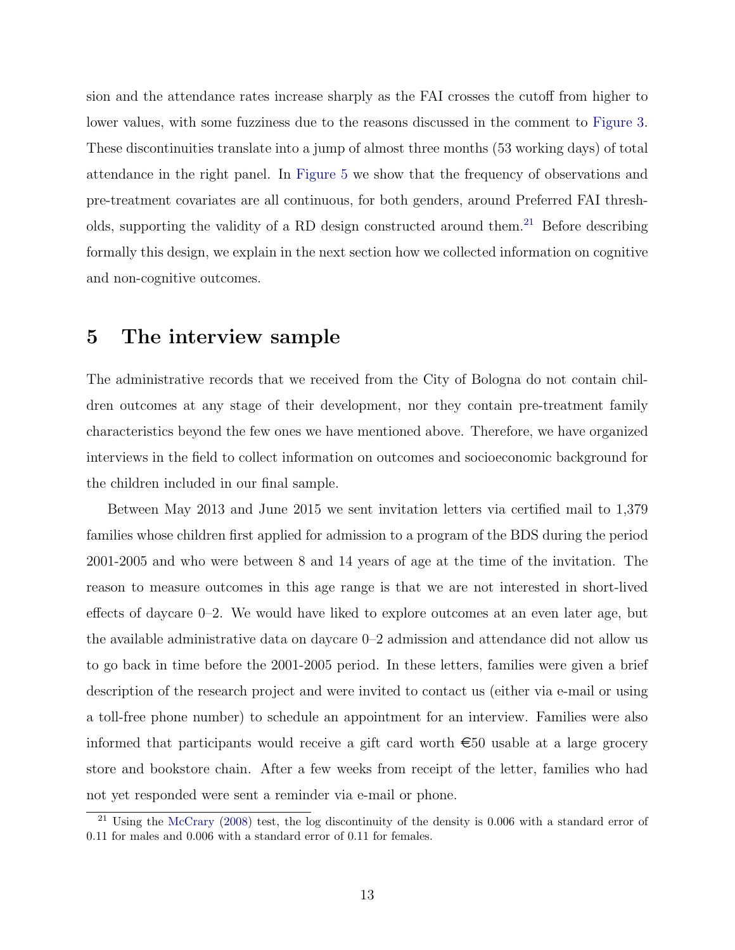sion and the attendance rates increase sharply as the FAI crosses the cutoff from higher to lower values, with some fuzziness due to the reasons discussed in the comment to [Figure 3.](#page-35-0) These discontinuities translate into a jump of almost three months (53 working days) of total attendance in the right panel. In [Figure 5](#page-37-0) we show that the frequency of observations and pre-treatment covariates are all continuous, for both genders, around Preferred FAI thresh-olds, supporting the validity of a RD design constructed around them.<sup>[21](#page-15-1)</sup> Before describing formally this design, we explain in the next section how we collected information on cognitive and non-cognitive outcomes.

### <span id="page-15-0"></span>5 The interview sample

The administrative records that we received from the City of Bologna do not contain children outcomes at any stage of their development, nor they contain pre-treatment family characteristics beyond the few ones we have mentioned above. Therefore, we have organized interviews in the field to collect information on outcomes and socioeconomic background for the children included in our final sample.

Between May 2013 and June 2015 we sent invitation letters via certified mail to 1,379 families whose children first applied for admission to a program of the BDS during the period 2001-2005 and who were between 8 and 14 years of age at the time of the invitation. The reason to measure outcomes in this age range is that we are not interested in short-lived effects of daycare  $0-2$ . We would have liked to explore outcomes at an even later age, but the available administrative data on daycare 0–2 admission and attendance did not allow us to go back in time before the 2001-2005 period. In these letters, families were given a brief description of the research project and were invited to contact us (either via e-mail or using a toll-free phone number) to schedule an appointment for an interview. Families were also informed that participants would receive a gift card worth  $\epsilon$ 50 usable at a large grocery store and bookstore chain. After a few weeks from receipt of the letter, families who had not yet responded were sent a reminder via e-mail or phone.

<span id="page-15-1"></span><sup>&</sup>lt;sup>21</sup> Using the [McCrary](#page-32-9) [\(2008\)](#page-32-9) test, the log discontinuity of the density is 0.006 with a standard error of 0.11 for males and 0.006 with a standard error of 0.11 for females.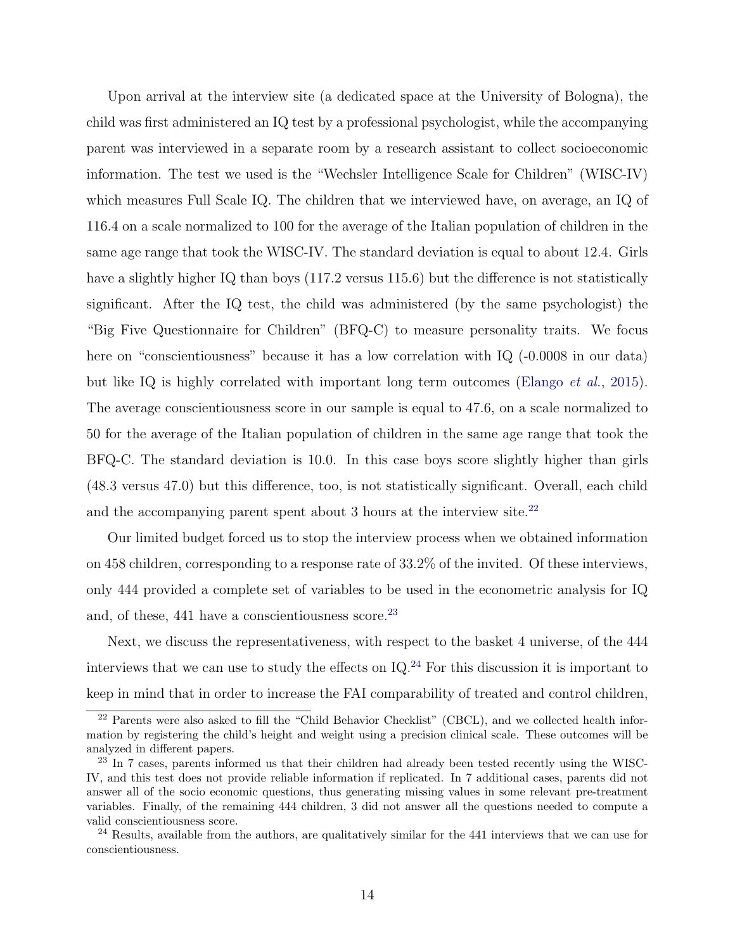Upon arrival at the interview site (a dedicated space at the University of Bologna), the child was first administered an IQ test by a professional psychologist, while the accompanying parent was interviewed in a separate room by a research assistant to collect socioeconomic information. The test we used is the "Wechsler Intelligence Scale for Children" (WISC-IV) which measures Full Scale IQ. The children that we interviewed have, on average, an IQ of 116.4 on a scale normalized to 100 for the average of the Italian population of children in the same age range that took the WISC-IV. The standard deviation is equal to about 12.4. Girls have a slightly higher IQ than boys  $(117.2 \text{ versus } 115.6)$  but the difference is not statistically significant. After the IQ test, the child was administered (by the same psychologist) the "Big Five Questionnaire for Children" (BFQ-C) to measure personality traits. We focus here on "conscientiousness" because it has a low correlation with IQ  $(-0.0008$  in our data) but like IQ is highly correlated with important long term outcomes [\(Elango](#page-31-0) *et al.*, [2015\)](#page-31-0). The average conscientiousness score in our sample is equal to 47.6, on a scale normalized to 50 for the average of the Italian population of children in the same age range that took the BFQ-C. The standard deviation is 10.0. In this case boys score slightly higher than girls  $(48.3 \text{ versus } 47.0)$  but this difference, too, is not statistically significant. Overall, each child and the accompanying parent spent about 3 hours at the interview site.<sup>[22](#page-16-0)</sup>

Our limited budget forced us to stop the interview process when we obtained information on 458 children, corresponding to a response rate of 33.2% of the invited. Of these interviews, only 444 provided a complete set of variables to be used in the econometric analysis for IQ and, of these,  $441$  have a conscientiousness score.<sup>[23](#page-16-1)</sup>

Next, we discuss the representativeness, with respect to the basket 4 universe, of the 444 interviews that we can use to study the effects on  $IQ^{24}$  $IQ^{24}$  $IQ^{24}$  For this discussion it is important to keep in mind that in order to increase the FAI comparability of treated and control children,

<span id="page-16-0"></span><sup>&</sup>lt;sup>22</sup> Parents were also asked to fill the "Child Behavior Checklist" (CBCL), and we collected health information by registering the child's height and weight using a precision clinical scale. These outcomes will be analyzed in different papers.

<span id="page-16-1"></span><sup>&</sup>lt;sup>23</sup> In 7 cases, parents informed us that their children had already been tested recently using the WISC-IV, and this test does not provide reliable information if replicated. In 7 additional cases, parents did not answer all of the socio economic questions, thus generating missing values in some relevant pre-treatment variables. Finally, of the remaining 444 children, 3 did not answer all the questions needed to compute a valid conscientiousness score.

<span id="page-16-2"></span><sup>&</sup>lt;sup>24</sup> Results, available from the authors, are qualitatively similar for the 441 interviews that we can use for conscientiousness.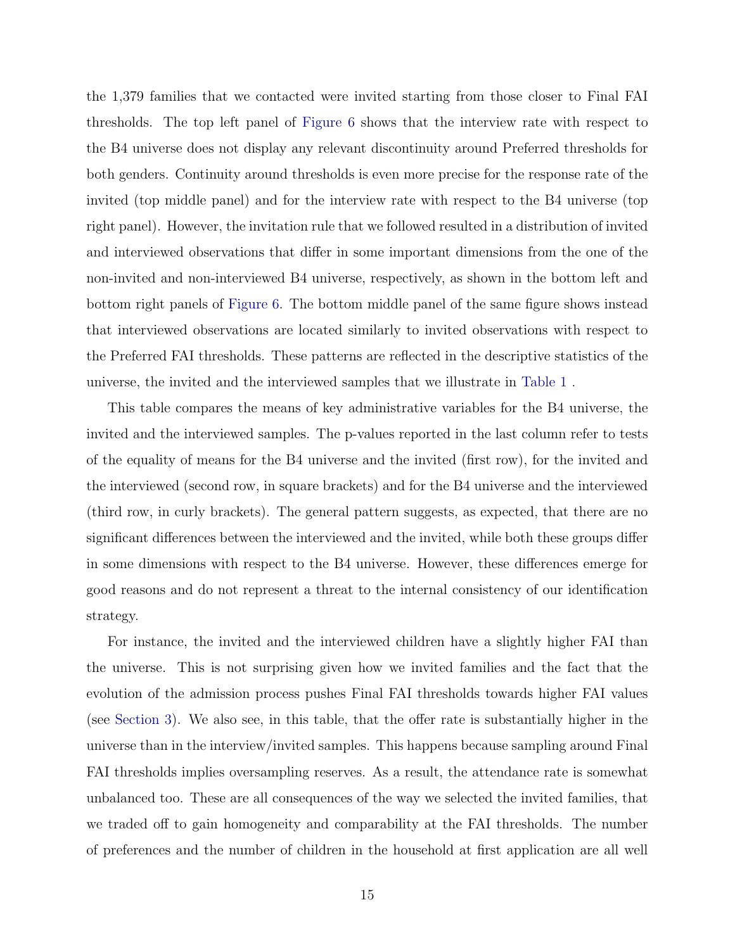the 1,379 families that we contacted were invited starting from those closer to Final FAI thresholds. The top left panel of [Figure 6](#page-38-0) shows that the interview rate with respect to the B4 universe does not display any relevant discontinuity around Preferred thresholds for both genders. Continuity around thresholds is even more precise for the response rate of the invited (top middle panel) and for the interview rate with respect to the B4 universe (top right panel). However, the invitation rule that we followed resulted in a distribution of invited and interviewed observations that differ in some important dimensions from the one of the non-invited and non-interviewed B4 universe, respectively, as shown in the bottom left and bottom right panels of [Figure 6.](#page-38-0) The bottom middle panel of the same figure shows instead that interviewed observations are located similarly to invited observations with respect to the Preferred FAI thresholds. These patterns are reflected in the descriptive statistics of the universe, the invited and the interviewed samples that we illustrate in [Table 1](#page-40-0) .

This table compares the means of key administrative variables for the B4 universe, the invited and the interviewed samples. The p-values reported in the last column refer to tests of the equality of means for the B4 universe and the invited (first row), for the invited and the interviewed (second row, in square brackets) and for the B4 universe and the interviewed (third row, in curly brackets). The general pattern suggests, as expected, that there are no significant differences between the interviewed and the invited, while both these groups differ in some dimensions with respect to the B4 universe. However, these differences emerge for good reasons and do not represent a threat to the internal consistency of our identification strategy.

For instance, the invited and the interviewed children have a slightly higher FAI than the universe. This is not surprising given how we invited families and the fact that the evolution of the admission process pushes Final FAI thresholds towards higher FAI values (see [Section 3\)](#page-9-0). We also see, in this table, that the offer rate is substantially higher in the universe than in the interview/invited samples. This happens because sampling around Final FAI thresholds implies oversampling reserves. As a result, the attendance rate is somewhat unbalanced too. These are all consequences of the way we selected the invited families, that we traded off to gain homogeneity and comparability at the FAI thresholds. The number of preferences and the number of children in the household at first application are all well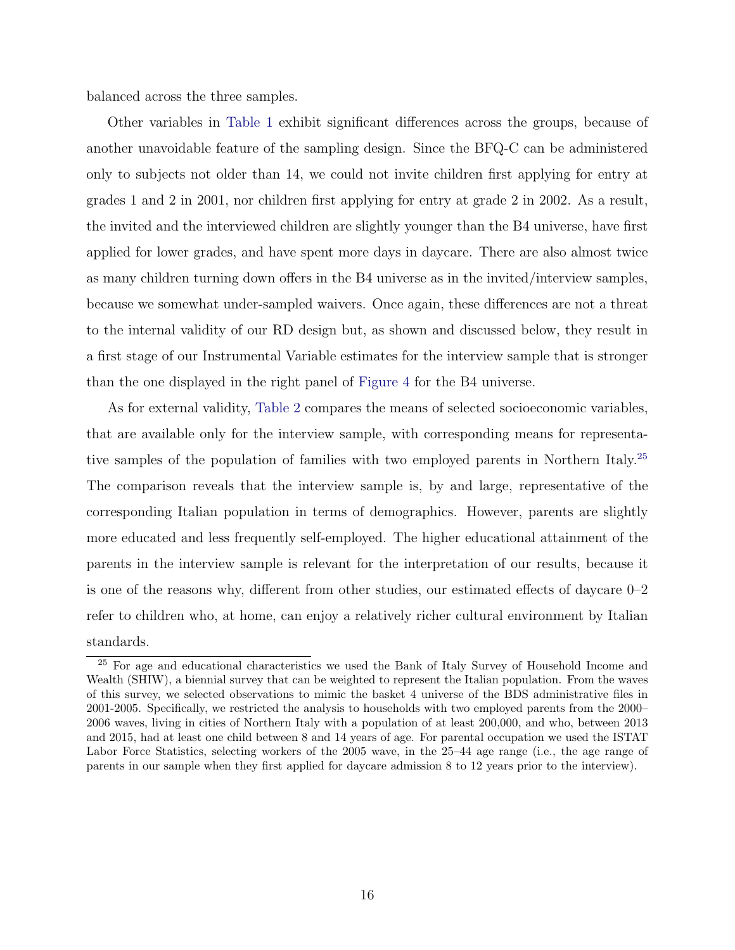balanced across the three samples.

Other variables in [Table 1](#page-40-0) exhibit significant differences across the groups, because of another unavoidable feature of the sampling design. Since the BFQ-C can be administered only to subjects not older than 14, we could not invite children first applying for entry at grades 1 and 2 in 2001, nor children first applying for entry at grade 2 in 2002. As a result, the invited and the interviewed children are slightly younger than the B4 universe, have first applied for lower grades, and have spent more days in daycare. There are also almost twice as many children turning down offers in the B4 universe as in the invited/interview samples, because we somewhat under-sampled waivers. Once again, these differences are not a threat to the internal validity of our RD design but, as shown and discussed below, they result in a first stage of our Instrumental Variable estimates for the interview sample that is stronger than the one displayed in the right panel of [Figure 4](#page-36-0) for the B4 universe.

As for external validity, [Table 2](#page-41-0) compares the means of selected socioeconomic variables, that are available only for the interview sample, with corresponding means for representative samples of the population of families with two employed parents in Northern Italy.[25](#page-18-0) The comparison reveals that the interview sample is, by and large, representative of the corresponding Italian population in terms of demographics. However, parents are slightly more educated and less frequently self-employed. The higher educational attainment of the parents in the interview sample is relevant for the interpretation of our results, because it is one of the reasons why, different from other studies, our estimated effects of daycare  $0-2$ refer to children who, at home, can enjoy a relatively richer cultural environment by Italian standards.

<span id="page-18-0"></span><sup>&</sup>lt;sup>25</sup> For age and educational characteristics we used the Bank of Italy Survey of Household Income and Wealth (SHIW), a biennial survey that can be weighted to represent the Italian population. From the waves of this survey, we selected observations to mimic the basket 4 universe of the BDS administrative files in 2001-2005. Specifically, we restricted the analysis to households with two employed parents from the 2000– 2006 waves, living in cities of Northern Italy with a population of at least 200,000, and who, between 2013 and 2015, had at least one child between 8 and 14 years of age. For parental occupation we used the ISTAT Labor Force Statistics, selecting workers of the 2005 wave, in the 25–44 age range (i.e., the age range of parents in our sample when they first applied for daycare admission 8 to 12 years prior to the interview).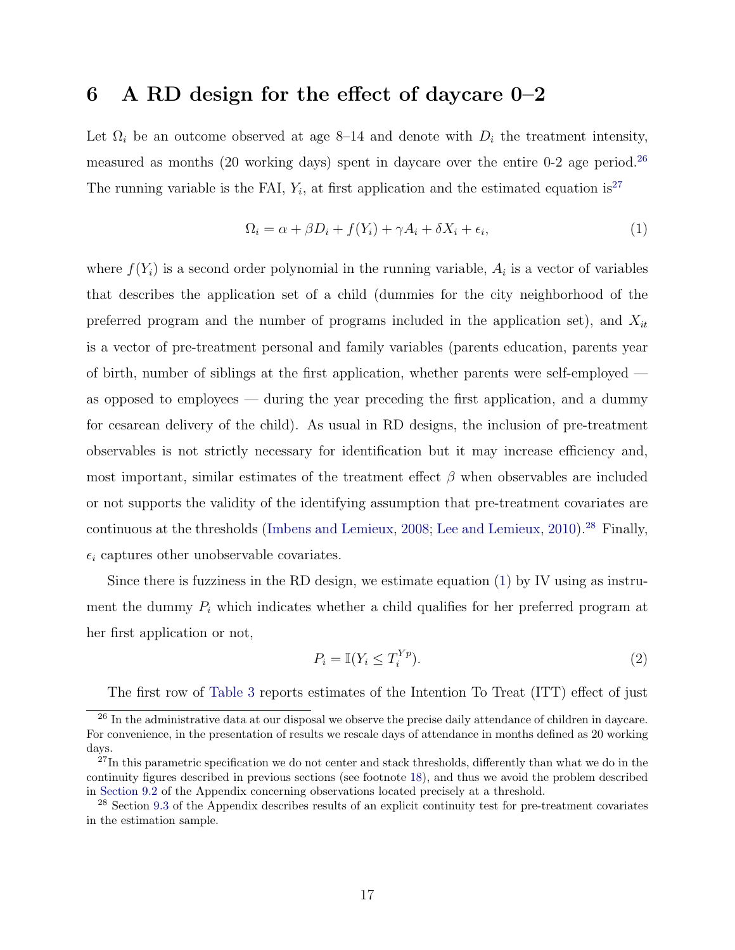### <span id="page-19-0"></span>6 A RD design for the effect of daycare  $0-2$

Let  $\Omega_i$  be an outcome observed at age 8–14 and denote with  $D_i$  the treatment intensity, measured as months (20 working days) spent in daycare over the entire  $0-2$  age period.<sup>[26](#page-19-1)</sup> The running variable is the FAI,  $Y_i$ , at first application and the estimated equation is<sup>[27](#page-19-2)</sup>

<span id="page-19-4"></span>
$$
\Omega_i = \alpha + \beta D_i + f(Y_i) + \gamma A_i + \delta X_i + \epsilon_i,\tag{1}
$$

where  $f(Y_i)$  is a second order polynomial in the running variable,  $A_i$  is a vector of variables that describes the application set of a child (dummies for the city neighborhood of the preferred program and the number of programs included in the application set), and *Xit* is a vector of pre-treatment personal and family variables (parents education, parents year of birth, number of siblings at the first application, whether parents were self-employed as opposed to employees — during the year preceding the first application, and a dummy for cesarean delivery of the child). As usual in RD designs, the inclusion of pre-treatment observables is not strictly necessary for identification but it may increase efficiency and, most important, similar estimates of the treatment effect  $\beta$  when observables are included or not supports the validity of the identifying assumption that pre-treatment covariates are continuous at the thresholds [\(Imbens and Lemieux,](#page-32-10) [2008;](#page-32-10) [Lee and Lemieux,](#page-32-11) [2010\)](#page-32-11).<sup>[28](#page-19-3)</sup> Finally,  $\epsilon_i$  captures other unobservable covariates.

Since there is fuzziness in the RD design, we estimate equation [\(1\)](#page-19-4) by IV using as instrument the dummy *P<sup>i</sup>* which indicates whether a child qualifies for her preferred program at her first application or not,

<span id="page-19-5"></span>
$$
P_i = \mathbb{I}(Y_i \le T_i^{Yp}).\tag{2}
$$

<span id="page-19-1"></span>The first row of [Table 3](#page-42-0) reports estimates of the Intention To Treat (ITT) effect of just

<sup>&</sup>lt;sup>26</sup> In the administrative data at our disposal we observe the precise daily attendance of children in daycare. For convenience, in the presentation of results we rescale days of attendance in months defined as 20 working days.

<span id="page-19-2"></span> $^{27}$ In this parametric specification we do not center and stack thresholds, differently than what we do in the continuity figures described in previous sections (see footnote [18\)](#page-13-1), and thus we avoid the problem described in [Section 9.2](#page-27-1) of the Appendix concerning observations located precisely at a threshold.

<span id="page-19-3"></span><sup>&</sup>lt;sup>28</sup> Section [9.3](#page-28-0) of the Appendix describes results of an explicit continuity test for pre-treatment covariates in the estimation sample.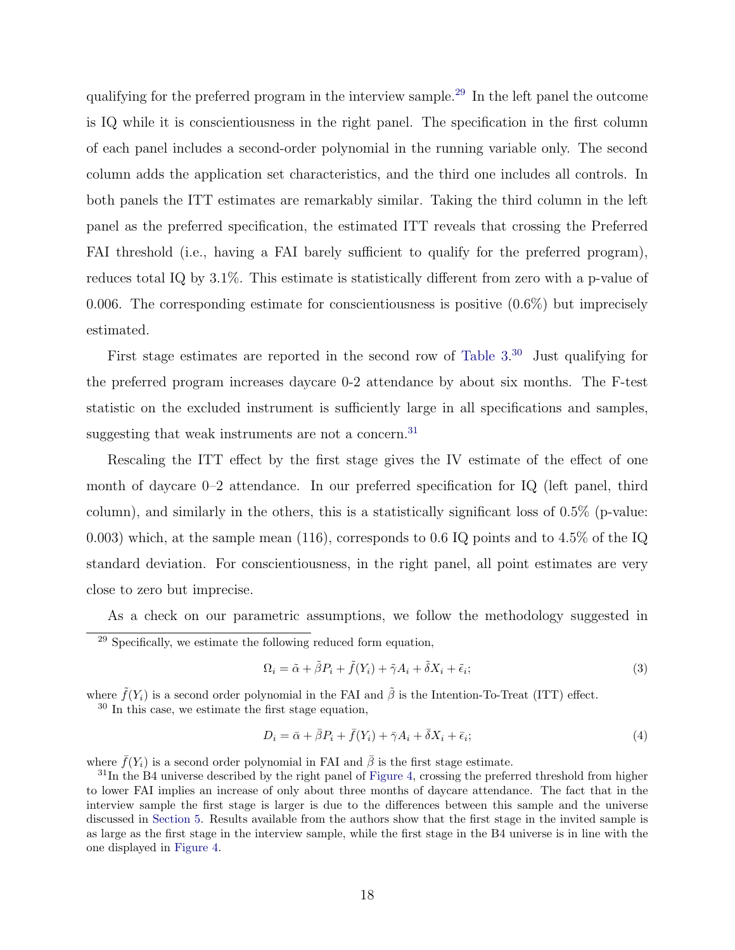qualifying for the preferred program in the interview sample.[29](#page-20-0) In the left panel the outcome is IQ while it is conscientiousness in the right panel. The specification in the first column of each panel includes a second-order polynomial in the running variable only. The second column adds the application set characteristics, and the third one includes all controls. In both panels the ITT estimates are remarkably similar. Taking the third column in the left panel as the preferred specification, the estimated ITT reveals that crossing the Preferred FAI threshold (i.e., having a FAI barely sufficient to qualify for the preferred program), reduces total IQ by  $3.1\%$ . This estimate is statistically different from zero with a p-value of 0.006. The corresponding estimate for conscientiousness is positive  $(0.6\%)$  but imprecisely estimated.

First stage estimates are reported in the second row of [Table 3.](#page-42-0)<sup>[30](#page-20-1)</sup> Just qualifying for the preferred program increases daycare 0-2 attendance by about six months. The F-test statistic on the excluded instrument is sufficiently large in all specifications and samples, suggesting that weak instruments are not a concern.<sup>[31](#page-20-2)</sup>

Rescaling the ITT effect by the first stage gives the IV estimate of the effect of one month of daycare 0–2 attendance. In our preferred specification for IQ (left panel, third column), and similarly in the others, this is a statistically significant loss of 0.5% (p-value: 0.003) which, at the sample mean (116), corresponds to 0.6 IQ points and to 4.5% of the IQ standard deviation. For conscientiousness, in the right panel, all point estimates are very close to zero but imprecise.

<span id="page-20-0"></span>As a check on our parametric assumptions, we follow the methodology suggested in  $^{29}$  Specifically, we estimate the following reduced form equation,

<span id="page-20-3"></span>
$$
\Omega_i = \tilde{\alpha} + \tilde{\beta} P_i + \tilde{f}(Y_i) + \tilde{\gamma} A_i + \tilde{\delta} X_i + \tilde{\epsilon}_i; \tag{3}
$$

where  $\tilde{f}(Y_i)$  is a second order polynomial in the FAI and  $\tilde{\beta}$  is the Intention-To-Treat (ITT) effect.

<span id="page-20-1"></span><sup>30</sup> In this case, we estimate the first stage equation.

<span id="page-20-4"></span>
$$
D_i = \bar{\alpha} + \bar{\beta}P_i + \bar{f}(Y_i) + \bar{\gamma}A_i + \bar{\delta}X_i + \bar{\epsilon}_i;
$$
\n<sup>(4)</sup>

where  $\bar{f}(Y_i)$  is a second order polynomial in FAI and  $\bar{\beta}$  is the first stage estimate.

<span id="page-20-2"></span> $31$ In the B4 universe described by the right panel of [Figure 4,](#page-36-0) crossing the preferred threshold from higher to lower FAI implies an increase of only about three months of daycare attendance. The fact that in the interview sample the first stage is larger is due to the differences between this sample and the universe discussed in [Section 5.](#page-15-0) Results available from the authors show that the first stage in the invited sample is as large as the first stage in the interview sample, while the first stage in the B4 universe is in line with the one displayed in [Figure 4.](#page-36-0)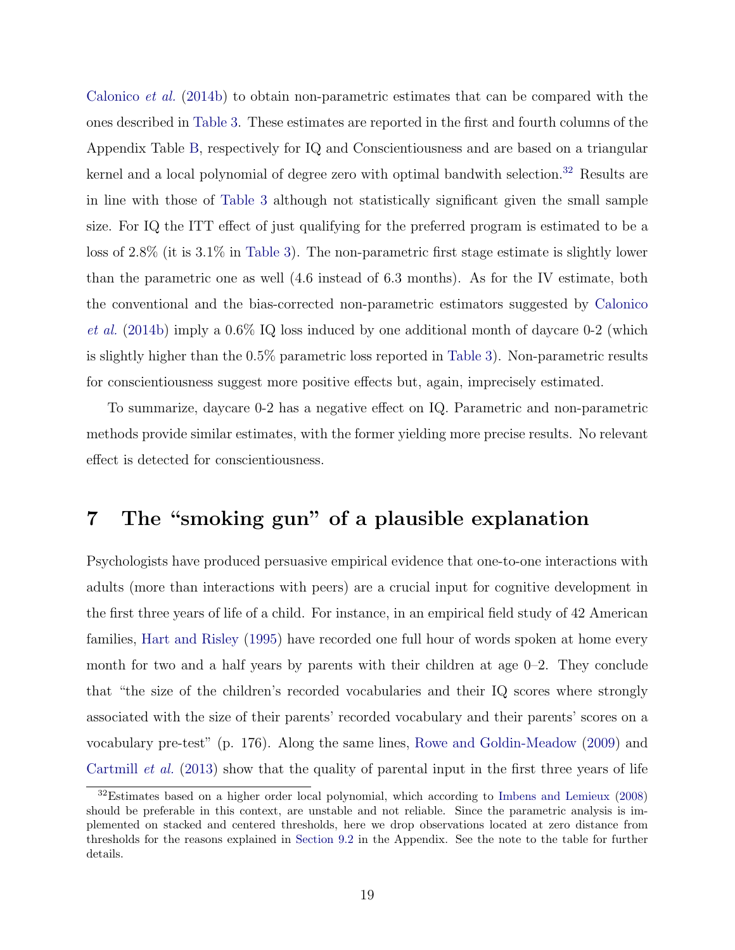[Calonico](#page-30-7) *et al.* [\(2014b\)](#page-30-7) to obtain non-parametric estimates that can be compared with the ones described in [Table 3.](#page-42-0) These estimates are reported in the first and fourth columns of the Appendix Table [B,](#page-41-0) respectively for IQ and Conscientiousness and are based on a triangular kernel and a local polynomial of degree zero with optimal bandwith selection.<sup>[32](#page-21-1)</sup> Results are in line with those of [Table 3](#page-42-0) although not statistically significant given the small sample size. For IQ the ITT effect of just qualifying for the preferred program is estimated to be a loss of 2.8% (it is 3.1% in [Table 3\)](#page-42-0). The non-parametric first stage estimate is slightly lower than the parametric one as well (4.6 instead of 6.3 months). As for the IV estimate, both the conventional and the bias-corrected non-parametric estimators suggested by [Calonico](#page-30-7) *[et al.](#page-30-7)* [\(2014b\)](#page-30-7) imply a 0.6% IQ loss induced by one additional month of daycare 0-2 (which is slightly higher than the 0.5% parametric loss reported in [Table 3\)](#page-42-0). Non-parametric results for conscientiousness suggest more positive effects but, again, imprecisely estimated.

To summarize, daycare 0-2 has a negative effect on IQ. Parametric and non-parametric methods provide similar estimates, with the former yielding more precise results. No relevant effect is detected for conscientiousness.

# <span id="page-21-0"></span>7 The "smoking gun" of a plausible explanation

Psychologists have produced persuasive empirical evidence that one-to-one interactions with adults (more than interactions with peers) are a crucial input for cognitive development in the first three years of life of a child. For instance, in an empirical field study of 42 American families, [Hart and Risley](#page-31-11) [\(1995\)](#page-31-11) have recorded one full hour of words spoken at home every month for two and a half years by parents with their children at age 0–2. They conclude that "the size of the children's recorded vocabularies and their IQ scores where strongly associated with the size of their parents' recorded vocabulary and their parents' scores on a vocabulary pre-test" (p. 176). Along the same lines, [Rowe and Goldin-Meadow](#page-32-12) [\(2009\)](#page-32-12) and [Cartmill](#page-30-8) *et al.* [\(2013\)](#page-30-8) show that the quality of parental input in the first three years of life

<span id="page-21-1"></span><sup>32</sup>Estimates based on a higher order local polynomial, which according to [Imbens and Lemieux](#page-32-10) [\(2008\)](#page-32-10) should be preferable in this context, are unstable and not reliable. Since the parametric analysis is implemented on stacked and centered thresholds, here we drop observations located at zero distance from thresholds for the reasons explained in [Section 9.2](#page-27-1) in the Appendix. See the note to the table for further details.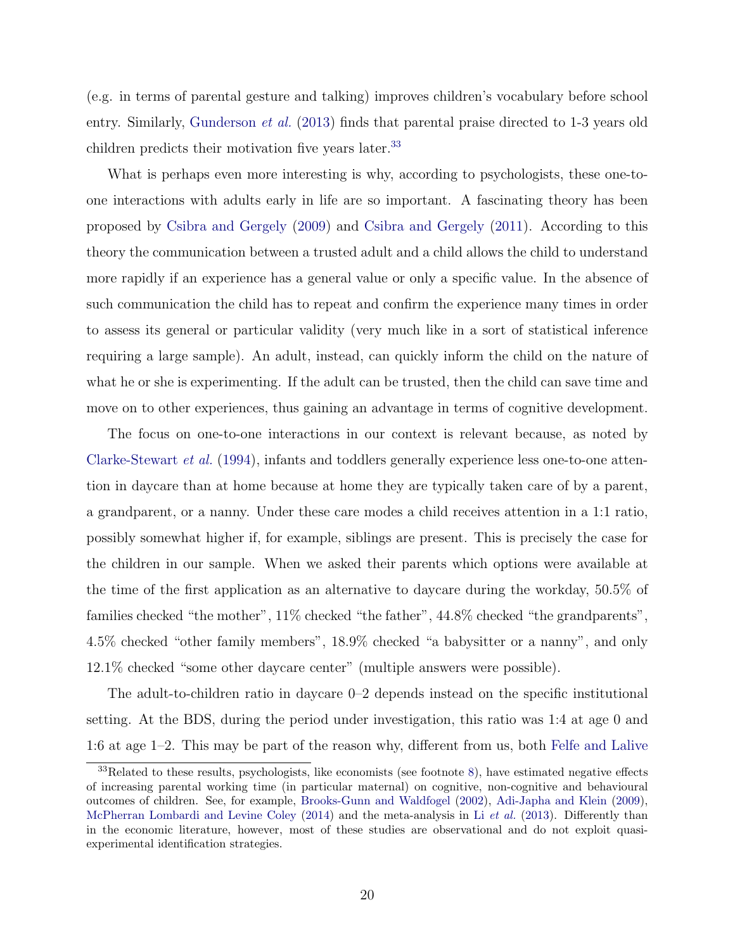(e.g. in terms of parental gesture and talking) improves children's vocabulary before school entry. Similarly, [Gunderson](#page-31-12) *et al.* [\(2013\)](#page-31-12) finds that parental praise directed to 1-3 years old children predicts their motivation five years later.<sup>[33](#page-22-0)</sup>

What is perhaps even more interesting is why, according to psychologists, these one-toone interactions with adults early in life are so important. A fascinating theory has been proposed by [Csibra and Gergely](#page-30-9) [\(2009\)](#page-30-9) and [Csibra and Gergely](#page-30-10) [\(2011\)](#page-30-10). According to this theory the communication between a trusted adult and a child allows the child to understand more rapidly if an experience has a general value or only a specific value. In the absence of such communication the child has to repeat and confirm the experience many times in order to assess its general or particular validity (very much like in a sort of statistical inference requiring a large sample). An adult, instead, can quickly inform the child on the nature of what he or she is experimenting. If the adult can be trusted, then the child can save time and move on to other experiences, thus gaining an advantage in terms of cognitive development.

The focus on one-to-one interactions in our context is relevant because, as noted by [Clarke-Stewart](#page-30-11) *et al.* [\(1994\)](#page-30-11), infants and toddlers generally experience less one-to-one attention in daycare than at home because at home they are typically taken care of by a parent, a grandparent, or a nanny. Under these care modes a child receives attention in a 1:1 ratio, possibly somewhat higher if, for example, siblings are present. This is precisely the case for the children in our sample. When we asked their parents which options were available at the time of the first application as an alternative to daycare during the workday, 50.5% of families checked "the mother", 11% checked "the father", 44.8% checked "the grandparents", 4.5% checked "other family members", 18.9% checked "a babysitter or a nanny", and only 12.1% checked "some other daycare center" (multiple answers were possible).

The adult-to-children ratio in daycare 0–2 depends instead on the specific institutional setting. At the BDS, during the period under investigation, this ratio was 1:4 at age 0 and 1:6 at age  $1-2$ . This may be part of the reason why, different from us, both [Felfe and Lalive](#page-31-1)

<span id="page-22-0"></span> $33$ Related to these results, psychologists, like economists (see footnote [8\)](#page-7-0), have estimated negative effects of increasing parental working time (in particular maternal) on cognitive, non-cognitive and behavioural outcomes of children. See, for example, [Brooks-Gunn and Waldfogel](#page-30-12) [\(2002\)](#page-30-12), [Adi-Japha and Klein](#page-29-7) [\(2009\)](#page-29-7), [McPherran Lombardi and Levine Coley](#page-32-13) [\(2014\)](#page-32-13) and the meta-analysis in Li *[et al.](#page-32-14)* [\(2013\)](#page-32-14). Differently than in the economic literature, however, most of these studies are observational and do not exploit quasiexperimental identification strategies.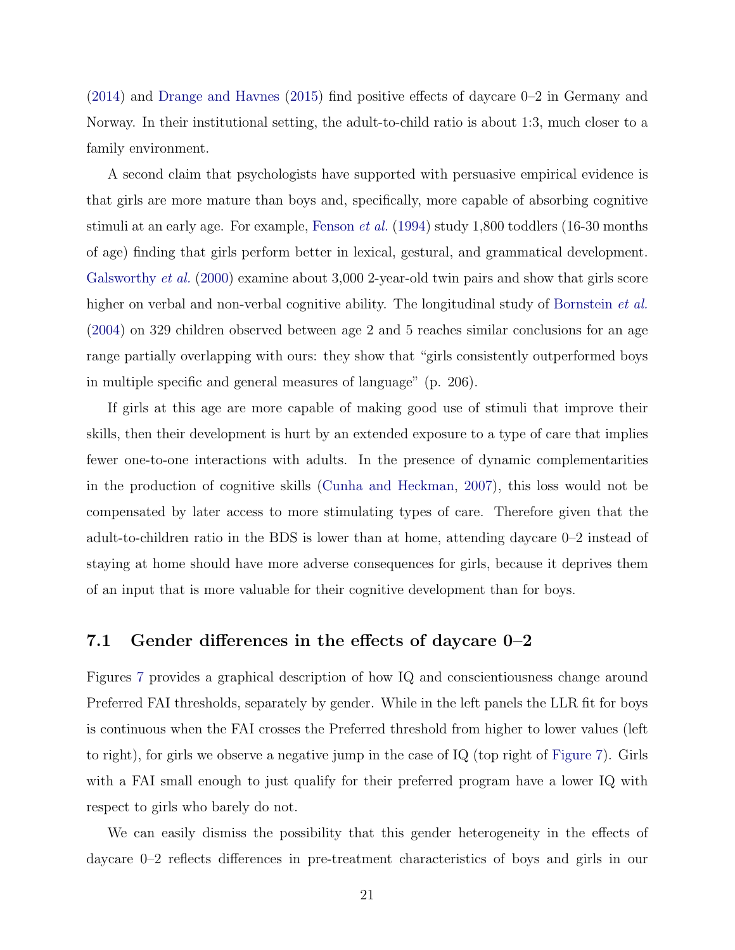$(2014)$  and [Drange and Havnes](#page-31-7)  $(2015)$  find positive effects of daycare  $0-2$  in Germany and Norway. In their institutional setting, the adult-to-child ratio is about 1:3, much closer to a family environment.

A second claim that psychologists have supported with persuasive empirical evidence is that girls are more mature than boys and, specifically, more capable of absorbing cognitive stimuli at an early age. For example, [Fenson](#page-31-13) *et al.* [\(1994\)](#page-31-13) study 1,800 toddlers (16-30 months of age) finding that girls perform better in lexical, gestural, and grammatical development. [Galsworthy](#page-31-14) *et al.* [\(2000\)](#page-31-14) examine about 3,000 2-year-old twin pairs and show that girls score higher on verbal and non-verbal cognitive ability. The longitudinal study of [Bornstein](#page-29-8) *et al.* [\(2004\)](#page-29-8) on 329 children observed between age 2 and 5 reaches similar conclusions for an age range partially overlapping with ours: they show that "girls consistently outperformed boys in multiple specific and general measures of language" (p. 206).

If girls at this age are more capable of making good use of stimuli that improve their skills, then their development is hurt by an extended exposure to a type of care that implies fewer one-to-one interactions with adults. In the presence of dynamic complementarities in the production of cognitive skills [\(Cunha and Heckman,](#page-30-1) [2007\)](#page-30-1), this loss would not be compensated by later access to more stimulating types of care. Therefore given that the adult-to-children ratio in the BDS is lower than at home, attending daycare 0–2 instead of staying at home should have more adverse consequences for girls, because it deprives them of an input that is more valuable for their cognitive development than for boys.

#### 7.1 Gender differences in the effects of daycare  $0-2$

Figures [7](#page-39-0) provides a graphical description of how IQ and conscientiousness change around Preferred FAI thresholds, separately by gender. While in the left panels the LLR fit for boys is continuous when the FAI crosses the Preferred threshold from higher to lower values (left to right), for girls we observe a negative jump in the case of IQ (top right of [Figure 7\)](#page-39-0). Girls with a FAI small enough to just qualify for their preferred program have a lower IQ with respect to girls who barely do not.

We can easily dismiss the possibility that this gender heterogeneity in the effects of daycare  $0-2$  reflects differences in pre-treatment characteristics of boys and girls in our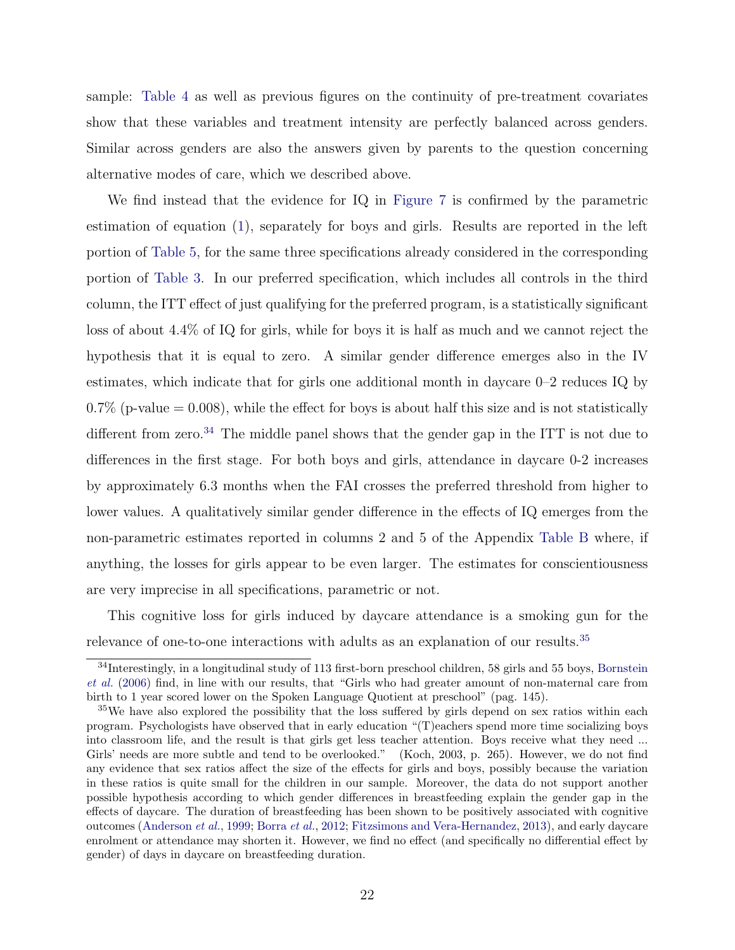sample: [Table 4](#page-43-0) as well as previous figures on the continuity of pre-treatment covariates show that these variables and treatment intensity are perfectly balanced across genders. Similar across genders are also the answers given by parents to the question concerning alternative modes of care, which we described above.

We find instead that the evidence for IQ in [Figure 7](#page-39-0) is confirmed by the parametric estimation of equation [\(1\)](#page-19-4), separately for boys and girls. Results are reported in the left portion of [Table 5,](#page-44-0) for the same three specifications already considered in the corresponding portion of [Table 3.](#page-42-0) In our preferred specification, which includes all controls in the third column, the ITT effect of just qualifying for the preferred program, is a statistically significant loss of about 4.4% of IQ for girls, while for boys it is half as much and we cannot reject the hypothesis that it is equal to zero. A similar gender difference emerges also in the IV estimates, which indicate that for girls one additional month in daycare 0–2 reduces IQ by  $0.7\%$  (p-value  $= 0.008$ ), while the effect for boys is about half this size and is not statistically different from zero.<sup>[34](#page-24-0)</sup> The middle panel shows that the gender gap in the ITT is not due to differences in the first stage. For both boys and girls, attendance in daycare 0-2 increases by approximately 6.3 months when the FAI crosses the preferred threshold from higher to lower values. A qualitatively similar gender difference in the effects of IQ emerges from the non-parametric estimates reported in columns 2 and 5 of the Appendix [Table B](#page-41-0) where, if anything, the losses for girls appear to be even larger. The estimates for conscientiousness are very imprecise in all specifications, parametric or not.

This cognitive loss for girls induced by daycare attendance is a smoking gun for the relevance of one-to-one interactions with adults as an explanation of our results.<sup>[35](#page-24-1)</sup>

<span id="page-24-0"></span><sup>34</sup>Interestingly, in a longitudinal study of 113 first-born preschool children, 58 girls and 55 boys, [Bornstein](#page-29-9) *[et al.](#page-29-9)* [\(2006\)](#page-29-9) find, in line with our results, that "Girls who had greater amount of non-maternal care from birth to 1 year scored lower on the Spoken Language Quotient at preschool" (pag. 145).

<span id="page-24-1"></span><sup>&</sup>lt;sup>35</sup>We have also explored the possibility that the loss suffered by girls depend on sex ratios within each program. Psychologists have observed that in early education "(T)eachers spend more time socializing boys into classroom life, and the result is that girls get less teacher attention. Boys receive what they need ... Girls' needs are more subtle and tend to be overlooked." (Koch, 2003, p. 265). However, we do not find any evidence that sex ratios affect the size of the effects for girls and boys, possibly because the variation in these ratios is quite small for the children in our sample. Moreover, the data do not support another possible hypothesis according to which gender differences in breastfeeding explain the gender gap in the effects of daycare. The duration of breastfeeding has been shown to be positively associated with cognitive outcomes [\(Anderson](#page-29-10) *et al.*, [1999;](#page-29-10) [Borra](#page-29-11) *et al.*, [2012;](#page-29-11) [Fitzsimons and Vera-Hernandez,](#page-31-15) [2013\)](#page-31-15), and early daycare enrolment or attendance may shorten it. However, we find no effect (and specifically no differential effect by gender) of days in daycare on breastfeeding duration.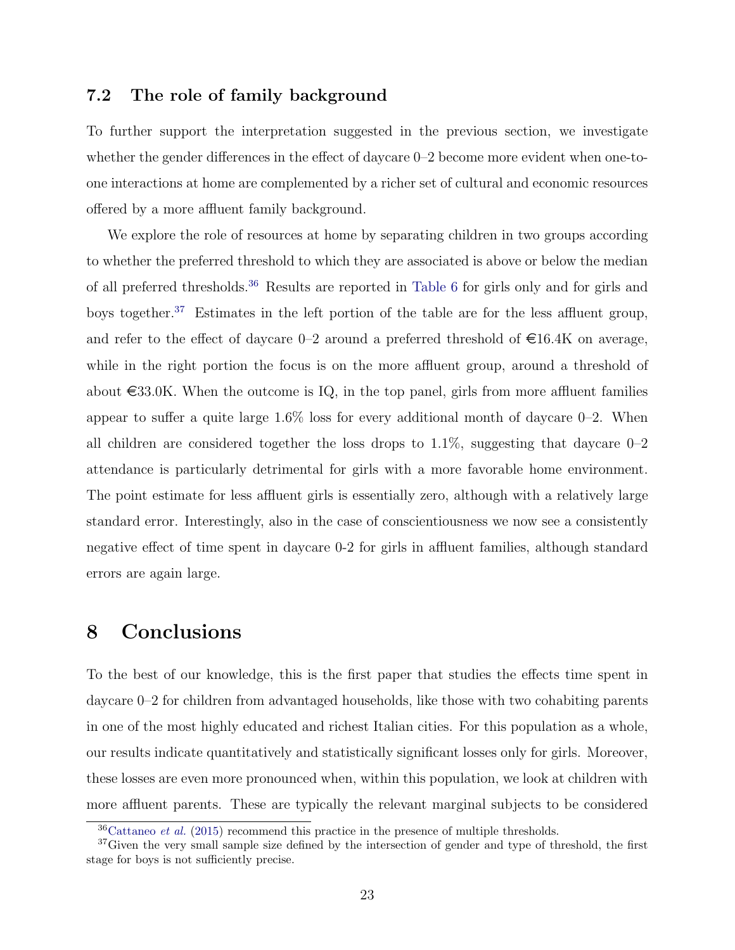#### 7.2 The role of family background

To further support the interpretation suggested in the previous section, we investigate whether the gender differences in the effect of daycare  $0-2$  become more evident when one-toone interactions at home are complemented by a richer set of cultural and economic resources offered by a more affluent family background.

We explore the role of resources at home by separating children in two groups according to whether the preferred threshold to which they are associated is above or below the median of all preferred thresholds.<sup>[36](#page-25-1)</sup> Results are reported in [Table 6](#page-45-0) for girls only and for girls and boys together.<sup>[37](#page-25-2)</sup> Estimates in the left portion of the table are for the less affluent group, and refer to the effect of daycare  $0-2$  around a preferred threshold of  $\in 16.4K$  on average, while in the right portion the focus is on the more affluent group, around a threshold of about  $\epsilon$ 33.0K. When the outcome is IQ, in the top panel, girls from more affluent families appear to suffer a quite large  $1.6\%$  loss for every additional month of daycare 0–2. When all children are considered together the loss drops to  $1.1\%$ , suggesting that daycare  $0-2$ attendance is particularly detrimental for girls with a more favorable home environment. The point estimate for less affluent girls is essentially zero, although with a relatively large standard error. Interestingly, also in the case of conscientiousness we now see a consistently negative effect of time spent in daycare 0-2 for girls in affluent families, although standard errors are again large.

#### <span id="page-25-0"></span>8 Conclusions

To the best of our knowledge, this is the first paper that studies the effects time spent in daycare 0–2 for children from advantaged households, like those with two cohabiting parents in one of the most highly educated and richest Italian cities. For this population as a whole, our results indicate quantitatively and statistically significant losses only for girls. Moreover, these losses are even more pronounced when, within this population, we look at children with more affluent parents. These are typically the relevant marginal subjects to be considered

<span id="page-25-2"></span><span id="page-25-1"></span><sup>36</sup>[Cattaneo](#page-30-13) *et al.* [\(2015\)](#page-30-13) recommend this practice in the presence of multiple thresholds.

<sup>&</sup>lt;sup>37</sup>Given the very small sample size defined by the intersection of gender and type of threshold, the first stage for boys is not sufficiently precise.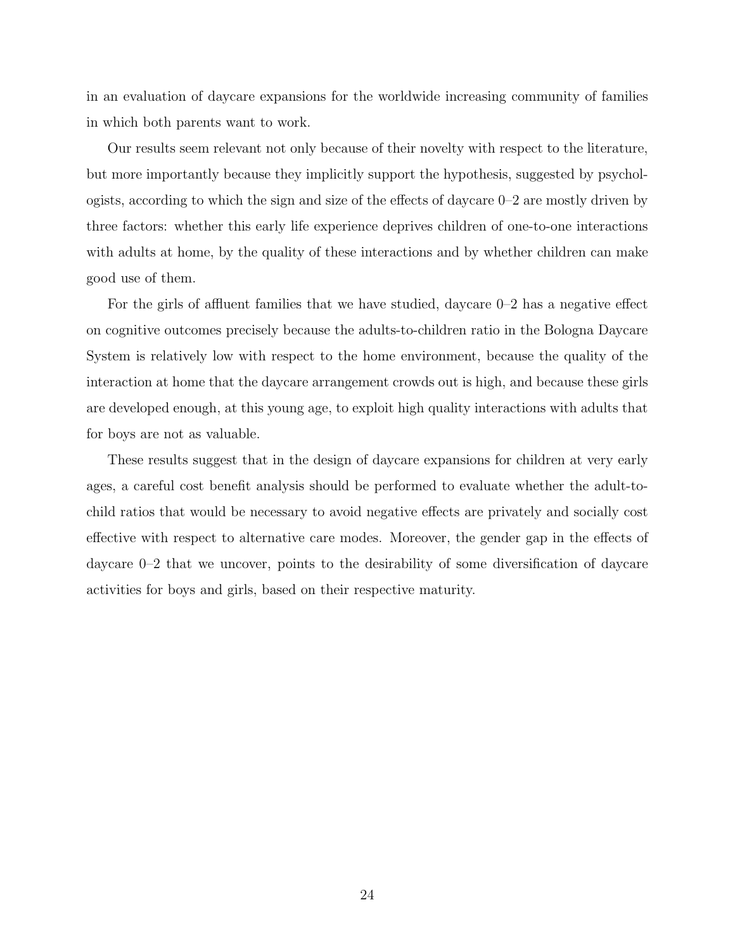in an evaluation of daycare expansions for the worldwide increasing community of families in which both parents want to work.

Our results seem relevant not only because of their novelty with respect to the literature, but more importantly because they implicitly support the hypothesis, suggested by psychologists, according to which the sign and size of the effects of daycare  $0-2$  are mostly driven by three factors: whether this early life experience deprives children of one-to-one interactions with adults at home, by the quality of these interactions and by whether children can make good use of them.

For the girls of affluent families that we have studied, daycare  $0-2$  has a negative effect on cognitive outcomes precisely because the adults-to-children ratio in the Bologna Daycare System is relatively low with respect to the home environment, because the quality of the interaction at home that the daycare arrangement crowds out is high, and because these girls are developed enough, at this young age, to exploit high quality interactions with adults that for boys are not as valuable.

These results suggest that in the design of daycare expansions for children at very early ages, a careful cost benefit analysis should be performed to evaluate whether the adult-tochild ratios that would be necessary to avoid negative effects are privately and socially cost effective with respect to alternative care modes. Moreover, the gender gap in the effects of daycare 0–2 that we uncover, points to the desirability of some diversification of daycare activities for boys and girls, based on their respective maturity.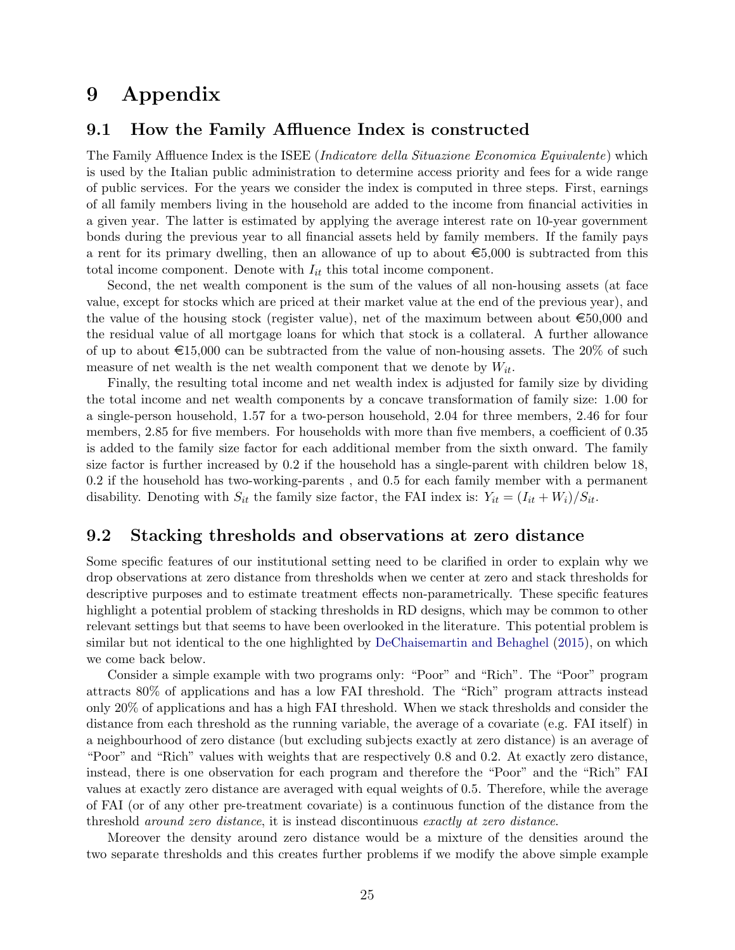### 9 Appendix

#### <span id="page-27-0"></span>9.1 How the Family Affluence Index is constructed

The Family Affluence Index is the ISEE (*Indicatore della Situazione Economica Equivalente*) which is used by the Italian public administration to determine access priority and fees for a wide range of public services. For the years we consider the index is computed in three steps. First, earnings of all family members living in the household are added to the income from financial activities in a given year. The latter is estimated by applying the average interest rate on 10-year government bonds during the previous year to all financial assets held by family members. If the family pays a rent for its primary dwelling, then an allowance of up to about  $\epsilon$ 5,000 is subtracted from this total income component. Denote with  $I_{it}$  this total income component.

Second, the net wealth component is the sum of the values of all non-housing assets (at face value, except for stocks which are priced at their market value at the end of the previous year), and the value of the housing stock (register value), net of the maximum between about  $\epsilon$ 50,000 and the residual value of all mortgage loans for which that stock is a collateral. A further allowance of up to about  $\epsilon$ 15,000 can be subtracted from the value of non-housing assets. The 20% of such measure of net wealth is the net wealth component that we denote by  $W_{it}$ .

Finally, the resulting total income and net wealth index is adjusted for family size by dividing the total income and net wealth components by a concave transformation of family size: 1.00 for a single-person household, 1.57 for a two-person household, 2.04 for three members, 2.46 for four members, 2.85 for five members. For households with more than five members, a coefficient of 0.35 is added to the family size factor for each additional member from the sixth onward. The family size factor is further increased by 0.2 if the household has a single-parent with children below 18, 0.2 if the household has two-working-parents , and 0.5 for each family member with a permanent disability. Denoting with  $S_{it}$  the family size factor, the FAI index is:  $Y_{it} = (I_{it} + W_i)/S_{it}$ .

#### <span id="page-27-1"></span>9.2 Stacking thresholds and observations at zero distance

Some specific features of our institutional setting need to be clarified in order to explain why we drop observations at zero distance from thresholds when we center at zero and stack thresholds for descriptive purposes and to estimate treatment effects non-parametrically. These specific features highlight a potential problem of stacking thresholds in RD designs, which may be common to other relevant settings but that seems to have been overlooked in the literature. This potential problem is similar but not identical to the one highlighted by [DeChaisemartin and Behaghel](#page-30-14) [\(2015\)](#page-30-14), on which we come back below.

Consider a simple example with two programs only: "Poor" and "Rich". The "Poor" program attracts 80% of applications and has a low FAI threshold. The "Rich" program attracts instead only 20% of applications and has a high FAI threshold. When we stack thresholds and consider the distance from each threshold as the running variable, the average of a covariate (e.g. FAI itself) in a neighbourhood of zero distance (but excluding subjects exactly at zero distance) is an average of "Poor" and "Rich" values with weights that are respectively 0.8 and 0.2. At exactly zero distance, instead, there is one observation for each program and therefore the "Poor" and the "Rich" FAI values at exactly zero distance are averaged with equal weights of 0.5. Therefore, while the average of FAI (or of any other pre-treatment covariate) is a continuous function of the distance from the threshold *around zero distance*, it is instead discontinuous *exactly at zero distance*.

Moreover the density around zero distance would be a mixture of the densities around the two separate thresholds and this creates further problems if we modify the above simple example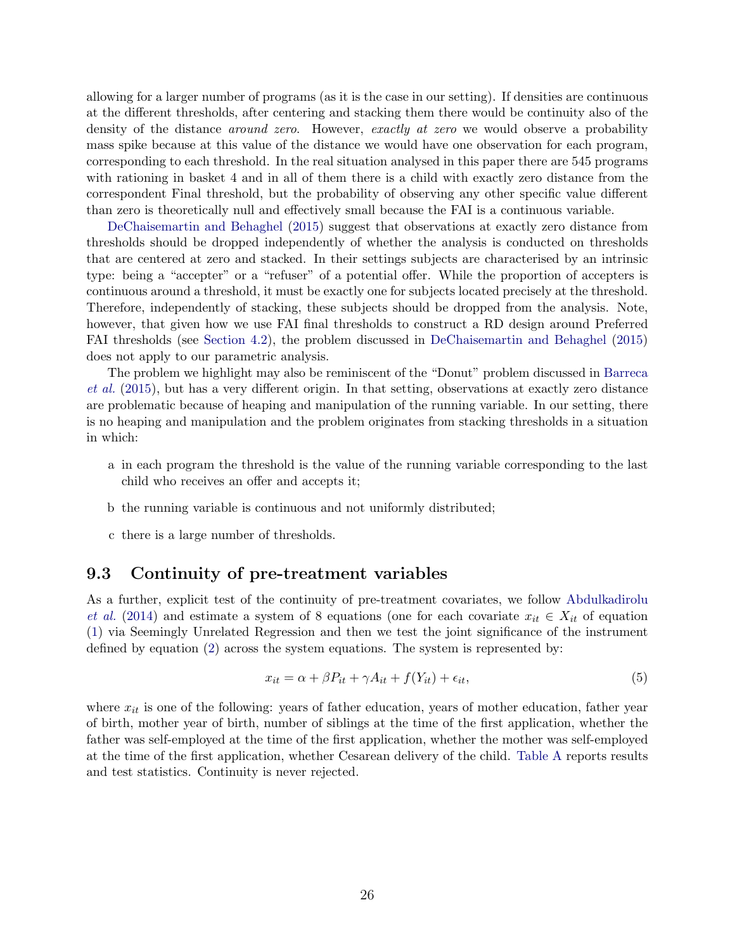allowing for a larger number of programs (as it is the case in our setting). If densities are continuous at the different thresholds, after centering and stacking them there would be continuity also of the density of the distance *around zero*. However, *exactly at zero* we would observe a probability mass spike because at this value of the distance we would have one observation for each program, corresponding to each threshold. In the real situation analysed in this paper there are 545 programs with rationing in basket 4 and in all of them there is a child with exactly zero distance from the correspondent Final threshold, but the probability of observing any other specific value different than zero is theoretically null and effectively small because the FAI is a continuous variable.

[DeChaisemartin and Behaghel](#page-30-14) [\(2015\)](#page-30-14) suggest that observations at exactly zero distance from thresholds should be dropped independently of whether the analysis is conducted on thresholds that are centered at zero and stacked. In their settings subjects are characterised by an intrinsic type: being a "accepter" or a "refuser" of a potential offer. While the proportion of accepters is continuous around a threshold, it must be exactly one for subjects located precisely at the threshold. Therefore, independently of stacking, these subjects should be dropped from the analysis. Note, however, that given how we use FAI final thresholds to construct a RD design around Preferred FAI thresholds (see [Section 4.2\)](#page-13-2), the problem discussed in [DeChaisemartin and Behaghel](#page-30-14) [\(2015\)](#page-30-14) does not apply to our parametric analysis.

The problem we highlight may also be reminiscent of the "Donut" problem discussed in [Barreca](#page-29-12) *[et al.](#page-29-12)* [\(2015\)](#page-29-12), but has a very different origin. In that setting, observations at exactly zero distance are problematic because of heaping and manipulation of the running variable. In our setting, there is no heaping and manipulation and the problem originates from stacking thresholds in a situation in which:

- a in each program the threshold is the value of the running variable corresponding to the last child who receives an offer and accepts it;
- b the running variable is continuous and not uniformly distributed;
- c there is a large number of thresholds.

#### <span id="page-28-0"></span>9.3 Continuity of pre-treatment variables

As a further, explicit test of the continuity of pre-treatment covariates, we follow [Abdulkadirolu](#page-29-13) *[et al.](#page-29-13)* [\(2014\)](#page-29-13) and estimate a system of 8 equations (one for each covariate  $x_{it} \in X_{it}$  of equation [\(1\)](#page-19-4) via Seemingly Unrelated Regression and then we test the joint significance of the instrument defined by equation [\(2\)](#page-19-5) across the system equations. The system is represented by:

<span id="page-28-1"></span>
$$
x_{it} = \alpha + \beta P_{it} + \gamma A_{it} + f(Y_{it}) + \epsilon_{it},\tag{5}
$$

where  $x_{it}$  is one of the following: years of father education, years of mother education, father year of birth, mother year of birth, number of siblings at the time of the first application, whether the father was self-employed at the time of the first application, whether the mother was self-employed at the time of the first application, whether Cesarean delivery of the child. [Table A](#page-40-0) reports results and test statistics. Continuity is never rejected.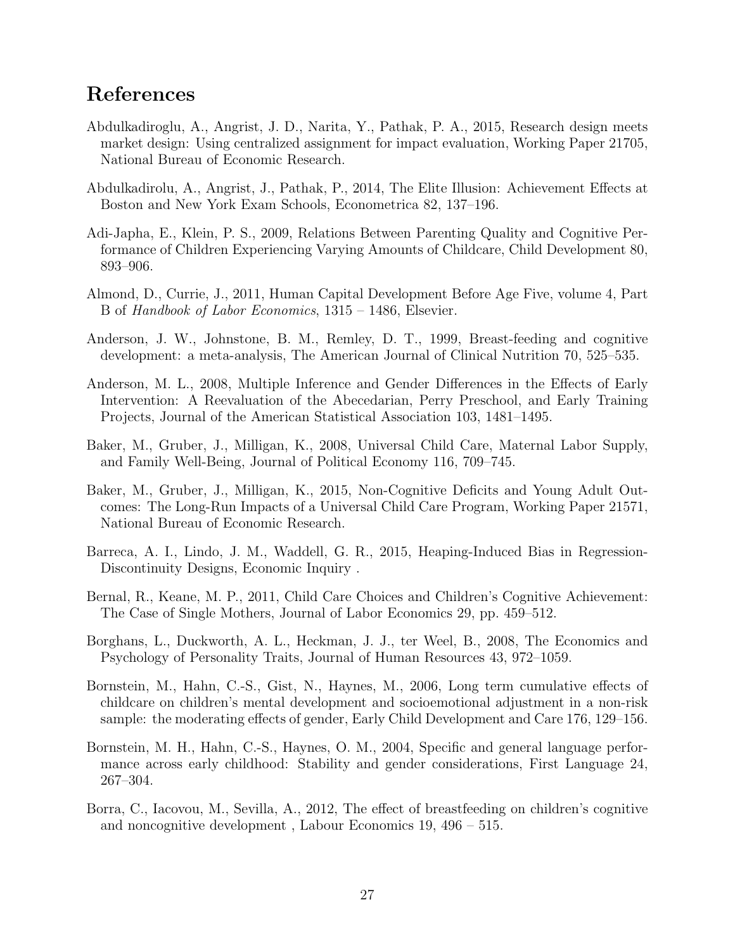### References

- <span id="page-29-6"></span>Abdulkadiroglu, A., Angrist, J. D., Narita, Y., Pathak, P. A., 2015, Research design meets market design: Using centralized assignment for impact evaluation, Working Paper 21705, National Bureau of Economic Research.
- <span id="page-29-13"></span>Abdulkadirolu, A., Angrist, J., Pathak, P., 2014, The Elite Illusion: Achievement Effects at Boston and New York Exam Schools, Econometrica 82, 137–196.
- <span id="page-29-7"></span>Adi-Japha, E., Klein, P. S., 2009, Relations Between Parenting Quality and Cognitive Performance of Children Experiencing Varying Amounts of Childcare, Child Development 80, 893–906.
- <span id="page-29-1"></span>Almond, D., Currie, J., 2011, Human Capital Development Before Age Five, volume 4, Part B of *Handbook of Labor Economics*, 1315 – 1486, Elsevier.
- <span id="page-29-10"></span>Anderson, J. W., Johnstone, B. M., Remley, D. T., 1999, Breast-feeding and cognitive development: a meta-analysis, The American Journal of Clinical Nutrition 70, 525–535.
- <span id="page-29-2"></span>Anderson, M. L., 2008, Multiple Inference and Gender Differences in the Effects of Early Intervention: A Reevaluation of the Abecedarian, Perry Preschool, and Early Training Projects, Journal of the American Statistical Association 103, 1481–1495.
- <span id="page-29-3"></span>Baker, M., Gruber, J., Milligan, K., 2008, Universal Child Care, Maternal Labor Supply, and Family Well-Being, Journal of Political Economy 116, 709–745.
- <span id="page-29-4"></span>Baker, M., Gruber, J., Milligan, K., 2015, Non-Cognitive Deficits and Young Adult Outcomes: The Long-Run Impacts of a Universal Child Care Program, Working Paper 21571, National Bureau of Economic Research.
- <span id="page-29-12"></span>Barreca, A. I., Lindo, J. M., Waddell, G. R., 2015, Heaping-Induced Bias in Regression-Discontinuity Designs, Economic Inquiry .
- <span id="page-29-5"></span>Bernal, R., Keane, M. P., 2011, Child Care Choices and Children's Cognitive Achievement: The Case of Single Mothers, Journal of Labor Economics 29, pp. 459–512.
- <span id="page-29-0"></span>Borghans, L., Duckworth, A. L., Heckman, J. J., ter Weel, B., 2008, The Economics and Psychology of Personality Traits, Journal of Human Resources 43, 972–1059.
- <span id="page-29-9"></span>Bornstein, M., Hahn, C.-S., Gist, N., Haynes, M., 2006, Long term cumulative effects of childcare on children's mental development and socioemotional adjustment in a non-risk sample: the moderating effects of gender, Early Child Development and Care 176, 129–156.
- <span id="page-29-8"></span>Bornstein, M. H., Hahn, C.-S., Haynes, O. M., 2004, Specific and general language performance across early childhood: Stability and gender considerations, First Language 24, 267–304.
- <span id="page-29-11"></span>Borra, C., Iacovou, M., Sevilla, A., 2012, The effect of breastfeeding on children's cognitive and noncognitive development , Labour Economics 19, 496 – 515.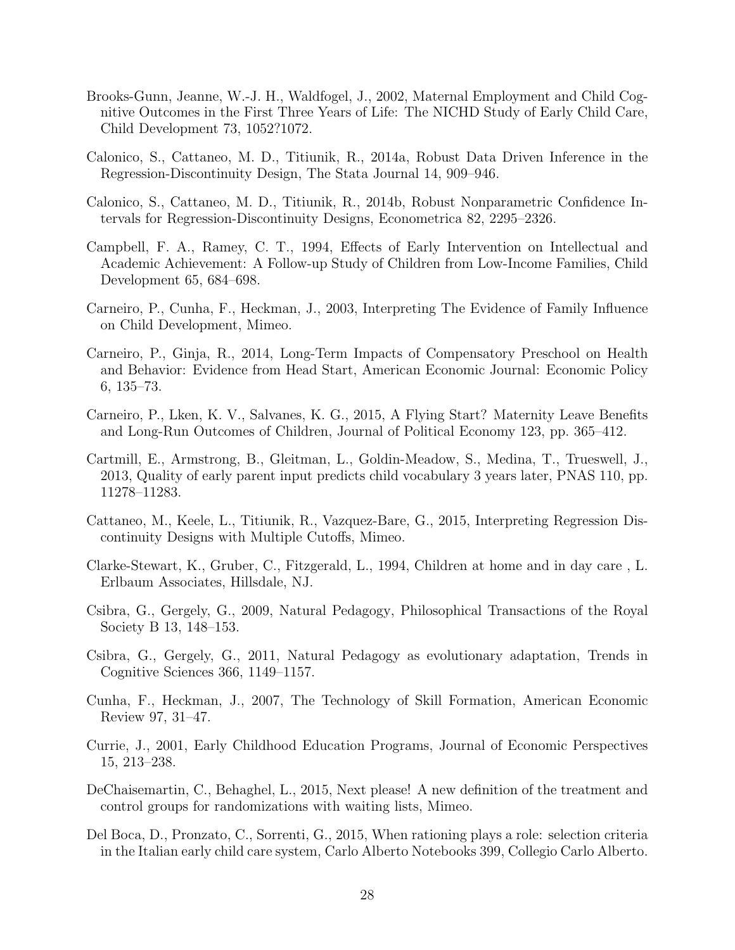- <span id="page-30-12"></span>Brooks-Gunn, Jeanne, W.-J. H., Waldfogel, J., 2002, Maternal Employment and Child Cognitive Outcomes in the First Three Years of Life: The NICHD Study of Early Child Care, Child Development 73, 1052?1072.
- <span id="page-30-15"></span>Calonico, S., Cattaneo, M. D., Titiunik, R., 2014a, Robust Data Driven Inference in the Regression-Discontinuity Design, The Stata Journal 14, 909–946.
- <span id="page-30-7"></span>Calonico, S., Cattaneo, M. D., Titiunik, R., 2014b, Robust Nonparametric Confidence Intervals for Regression-Discontinuity Designs, Econometrica 82, 2295–2326.
- <span id="page-30-4"></span>Campbell, F. A., Ramey, C. T., 1994, Effects of Early Intervention on Intellectual and Academic Achievement: A Follow-up Study of Children from Low-Income Families, Child Development 65, 684–698.
- <span id="page-30-0"></span>Carneiro, P., Cunha, F., Heckman, J., 2003, Interpreting The Evidence of Family Influence on Child Development, Mimeo.
- <span id="page-30-2"></span>Carneiro, P., Ginja, R., 2014, Long-Term Impacts of Compensatory Preschool on Health and Behavior: Evidence from Head Start, American Economic Journal: Economic Policy 6, 135–73.
- <span id="page-30-5"></span>Carneiro, P., Lken, K. V., Salvanes, K. G., 2015, A Flying Start? Maternity Leave Benefits and Long-Run Outcomes of Children, Journal of Political Economy 123, pp. 365–412.
- <span id="page-30-8"></span>Cartmill, E., Armstrong, B., Gleitman, L., Goldin-Meadow, S., Medina, T., Trueswell, J., 2013, Quality of early parent input predicts child vocabulary 3 years later, PNAS 110, pp. 11278–11283.
- <span id="page-30-13"></span>Cattaneo, M., Keele, L., Titiunik, R., Vazquez-Bare, G., 2015, Interpreting Regression Discontinuity Designs with Multiple Cutoffs, Mimeo.
- <span id="page-30-11"></span>Clarke-Stewart, K., Gruber, C., Fitzgerald, L., 1994, Children at home and in day care , L. Erlbaum Associates, Hillsdale, NJ.
- <span id="page-30-9"></span>Csibra, G., Gergely, G., 2009, Natural Pedagogy, Philosophical Transactions of the Royal Society B 13, 148–153.
- <span id="page-30-10"></span>Csibra, G., Gergely, G., 2011, Natural Pedagogy as evolutionary adaptation, Trends in Cognitive Sciences 366, 1149–1157.
- <span id="page-30-1"></span>Cunha, F., Heckman, J., 2007, The Technology of Skill Formation, American Economic Review 97, 31–47.
- <span id="page-30-6"></span>Currie, J., 2001, Early Childhood Education Programs, Journal of Economic Perspectives 15, 213–238.
- <span id="page-30-14"></span>DeChaisemartin, C., Behaghel, L., 2015, Next please! A new definition of the treatment and control groups for randomizations with waiting lists, Mimeo.
- <span id="page-30-3"></span>Del Boca, D., Pronzato, C., Sorrenti, G., 2015, When rationing plays a role: selection criteria in the Italian early child care system, Carlo Alberto Notebooks 399, Collegio Carlo Alberto.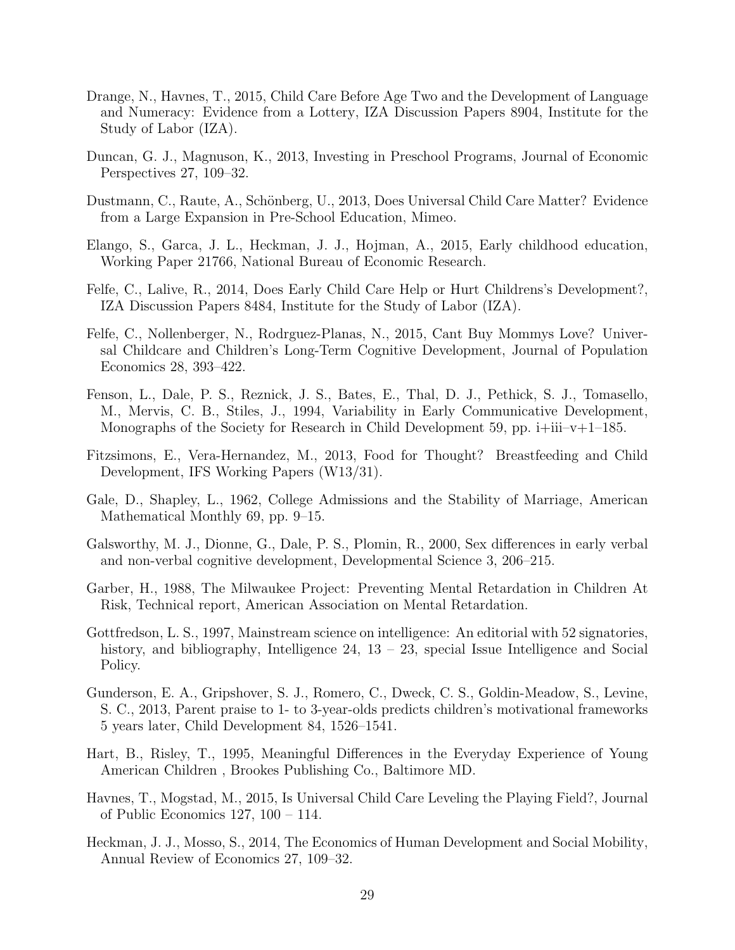- <span id="page-31-7"></span>Drange, N., Havnes, T., 2015, Child Care Before Age Two and the Development of Language and Numeracy: Evidence from a Lottery, IZA Discussion Papers 8904, Institute for the Study of Labor (IZA).
- <span id="page-31-3"></span>Duncan, G. J., Magnuson, K., 2013, Investing in Preschool Programs, Journal of Economic Perspectives 27, 109–32.
- <span id="page-31-6"></span>Dustmann, C., Raute, A., Schönberg, U., 2013, Does Universal Child Care Matter? Evidence from a Large Expansion in Pre-School Education, Mimeo.
- <span id="page-31-0"></span>Elango, S., Garca, J. L., Heckman, J. J., Hojman, A., 2015, Early childhood education, Working Paper 21766, National Bureau of Economic Research.
- <span id="page-31-1"></span>Felfe, C., Lalive, R., 2014, Does Early Child Care Help or Hurt Childrens's Development?, IZA Discussion Papers 8484, Institute for the Study of Labor (IZA).
- <span id="page-31-5"></span>Felfe, C., Nollenberger, N., Rodrguez-Planas, N., 2015, Cant Buy Mommys Love? Universal Childcare and Children's Long-Term Cognitive Development, Journal of Population Economics 28, 393–422.
- <span id="page-31-13"></span>Fenson, L., Dale, P. S., Reznick, J. S., Bates, E., Thal, D. J., Pethick, S. J., Tomasello, M., Mervis, C. B., Stiles, J., 1994, Variability in Early Communicative Development, Monographs of the Society for Research in Child Development 59, pp.  $i+iii-v+1-185$ .
- <span id="page-31-15"></span>Fitzsimons, E., Vera-Hernandez, M., 2013, Food for Thought? Breastfeeding and Child Development, IFS Working Papers (W13/31).
- <span id="page-31-10"></span>Gale, D., Shapley, L., 1962, College Admissions and the Stability of Marriage, American Mathematical Monthly 69, pp. 9–15.
- <span id="page-31-14"></span>Galsworthy, M. J., Dionne, G., Dale, P. S., Plomin, R., 2000, Sex differences in early verbal and non-verbal cognitive development, Developmental Science 3, 206–215.
- <span id="page-31-8"></span>Garber, H., 1988, The Milwaukee Project: Preventing Mental Retardation in Children At Risk, Technical report, American Association on Mental Retardation.
- <span id="page-31-9"></span>Gottfredson, L. S., 1997, Mainstream science on intelligence: An editorial with 52 signatories, history, and bibliography, Intelligence 24, 13 – 23, special Issue Intelligence and Social Policy.
- <span id="page-31-12"></span>Gunderson, E. A., Gripshover, S. J., Romero, C., Dweck, C. S., Goldin-Meadow, S., Levine, S. C., 2013, Parent praise to 1- to 3-year-olds predicts children's motivational frameworks 5 years later, Child Development 84, 1526–1541.
- <span id="page-31-11"></span>Hart, B., Risley, T., 1995, Meaningful Differences in the Everyday Experience of Young American Children , Brookes Publishing Co., Baltimore MD.
- <span id="page-31-4"></span>Havnes, T., Mogstad, M., 2015, Is Universal Child Care Leveling the Playing Field?, Journal of Public Economics 127, 100 – 114.
- <span id="page-31-2"></span>Heckman, J. J., Mosso, S., 2014, The Economics of Human Development and Social Mobility, Annual Review of Economics 27, 109–32.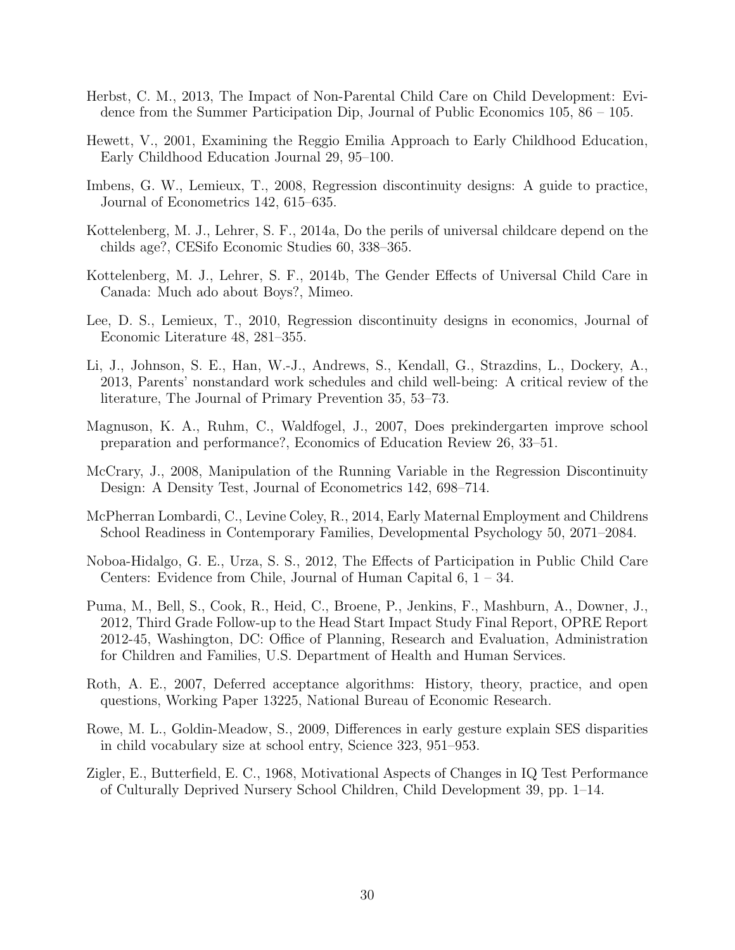- <span id="page-32-4"></span>Herbst, C. M., 2013, The Impact of Non-Parental Child Care on Child Development: Evidence from the Summer Participation Dip, Journal of Public Economics 105, 86 – 105.
- <span id="page-32-0"></span>Hewett, V., 2001, Examining the Reggio Emilia Approach to Early Childhood Education, Early Childhood Education Journal 29, 95–100.
- <span id="page-32-10"></span>Imbens, G. W., Lemieux, T., 2008, Regression discontinuity designs: A guide to practice, Journal of Econometrics 142, 615–635.
- <span id="page-32-5"></span>Kottelenberg, M. J., Lehrer, S. F., 2014a, Do the perils of universal childcare depend on the childs age?, CESifo Economic Studies 60, 338–365.
- <span id="page-32-6"></span>Kottelenberg, M. J., Lehrer, S. F., 2014b, The Gender Effects of Universal Child Care in Canada: Much ado about Boys?, Mimeo.
- <span id="page-32-11"></span>Lee, D. S., Lemieux, T., 2010, Regression discontinuity designs in economics, Journal of Economic Literature 48, 281–355.
- <span id="page-32-14"></span>Li, J., Johnson, S. E., Han, W.-J., Andrews, S., Kendall, G., Strazdins, L., Dockery, A., 2013, Parents' nonstandard work schedules and child well-being: A critical review of the literature, The Journal of Primary Prevention 35, 53–73.
- <span id="page-32-2"></span>Magnuson, K. A., Ruhm, C., Waldfogel, J., 2007, Does prekindergarten improve school preparation and performance?, Economics of Education Review 26, 33–51.
- <span id="page-32-9"></span>McCrary, J., 2008, Manipulation of the Running Variable in the Regression Discontinuity Design: A Density Test, Journal of Econometrics 142, 698–714.
- <span id="page-32-13"></span>McPherran Lombardi, C., Levine Coley, R., 2014, Early Maternal Employment and Childrens School Readiness in Contemporary Families, Developmental Psychology 50, 2071–2084.
- <span id="page-32-7"></span>Noboa-Hidalgo, G. E., Urza, S. S., 2012, The Effects of Participation in Public Child Care Centers: Evidence from Chile, Journal of Human Capital 6, 1 – 34.
- <span id="page-32-1"></span>Puma, M., Bell, S., Cook, R., Heid, C., Broene, P., Jenkins, F., Mashburn, A., Downer, J., 2012, Third Grade Follow-up to the Head Start Impact Study Final Report, OPRE Report 2012-45, Washington, DC: Office of Planning, Research and Evaluation, Administration for Children and Families, U.S. Department of Health and Human Services.
- <span id="page-32-8"></span>Roth, A. E., 2007, Deferred acceptance algorithms: History, theory, practice, and open questions, Working Paper 13225, National Bureau of Economic Research.
- <span id="page-32-12"></span>Rowe, M. L., Goldin-Meadow, S., 2009, Differences in early gesture explain SES disparities in child vocabulary size at school entry, Science 323, 951–953.
- <span id="page-32-3"></span>Zigler, E., Butterfield, E. C., 1968, Motivational Aspects of Changes in IQ Test Performance of Culturally Deprived Nursery School Children, Child Development 39, pp. 1–14.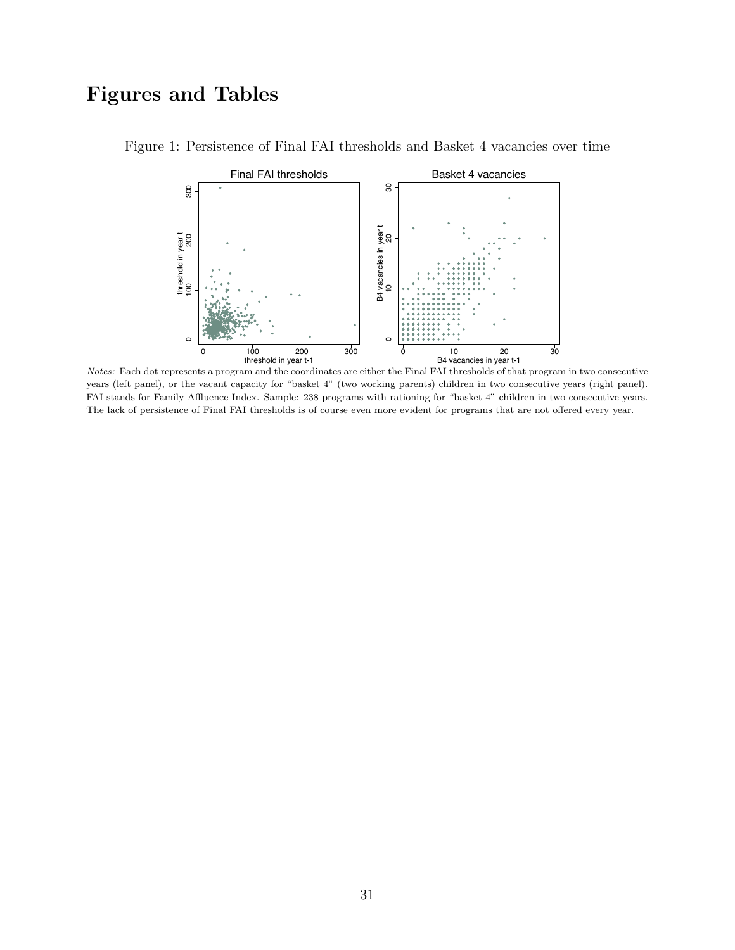# Figures and Tables

<span id="page-33-0"></span>

Figure 1: Persistence of Final FAI thresholds and Basket 4 vacancies over time

*Notes:* Each dot represents a program and the coordinates are either the Final FAI thresholds of that program in two consecutive years (left panel), or the vacant capacity for "basket 4" (two working parents) children in two consecutive years (right panel). FAI stands for Family Affluence Index. Sample: 238 programs with rationing for "basket 4" children in two consecutive years. The lack of persistence of Final FAI thresholds is of course even more evident for programs that are not offered every year.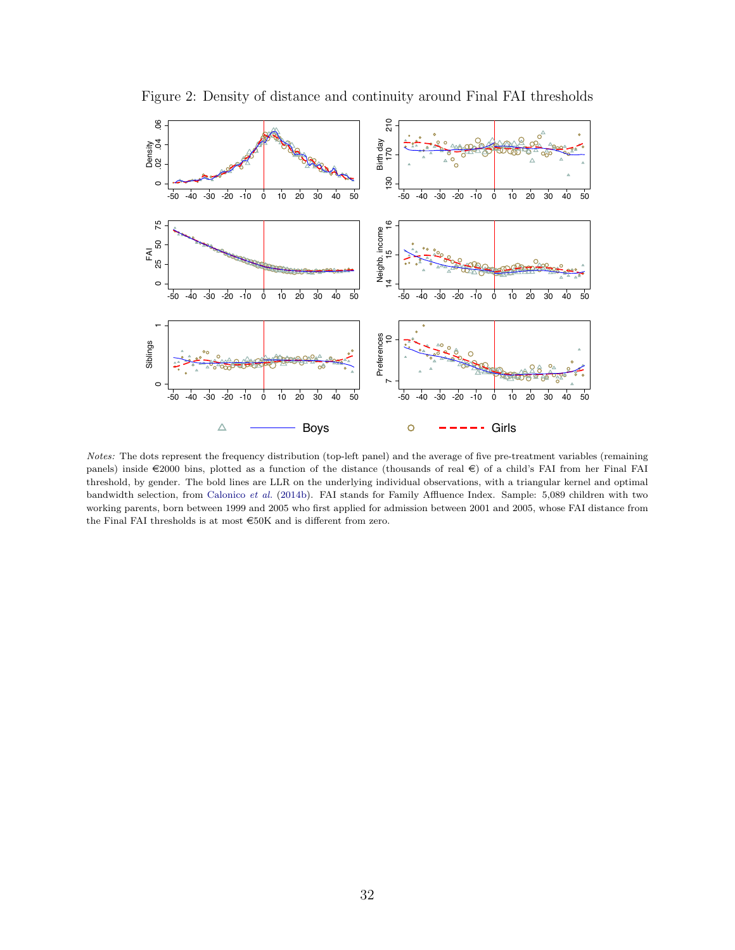

<span id="page-34-0"></span>Figure 2: Density of distance and continuity around Final FAI thresholds

*Notes:* The dots represent the frequency distribution (top-left panel) and the average of five pre-treatment variables (remaining panels) inside  $\in$ 2000 bins, plotted as a function of the distance (thousands of real  $\in$ ) of a child's FAI from her Final FAI threshold, by gender. The bold lines are LLR on the underlying individual observations, with a triangular kernel and optimal bandwidth selection, from [Calonico](#page-30-7) *et al.* [\(2014b\)](#page-30-7). FAI stands for Family Affluence Index. Sample: 5,089 children with two working parents, born between 1999 and 2005 who first applied for admission between 2001 and 2005, whose FAI distance from the Final FAI thresholds is at most  $\widehat{\in}50\mathrm{K}$  and is different from zero.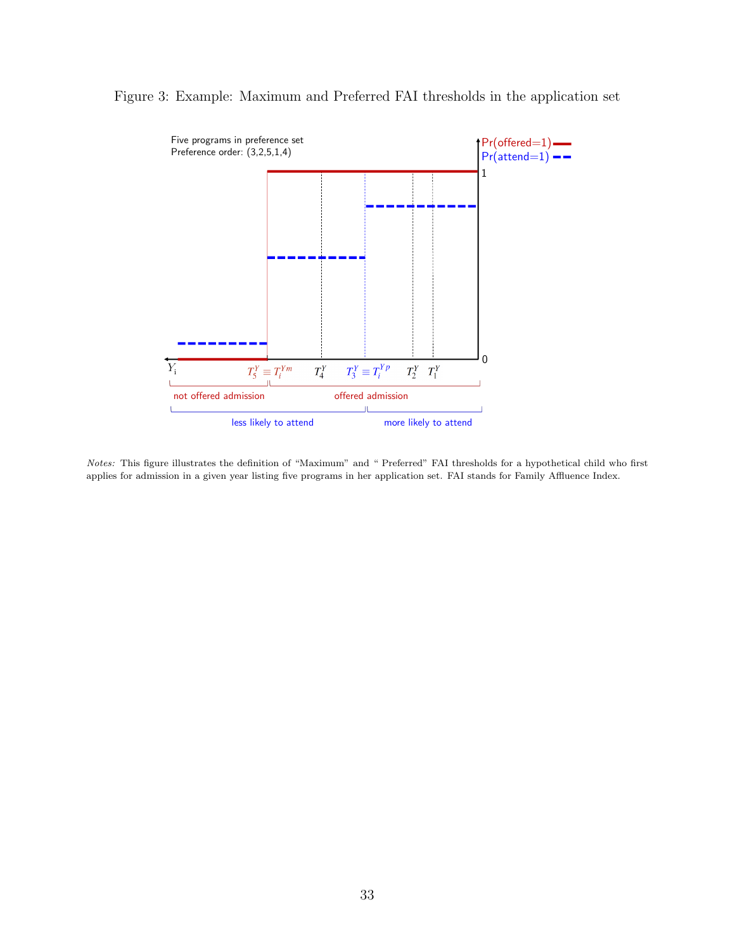<span id="page-35-0"></span>

#### Figure 3: Example: Maximum and Preferred FAI thresholds in the application set

*Notes:* This figure illustrates the definition of "Maximum" and " Preferred" FAI thresholds for a hypothetical child who first applies for admission in a given year listing five programs in her application set. FAI stands for Family Affluence Index.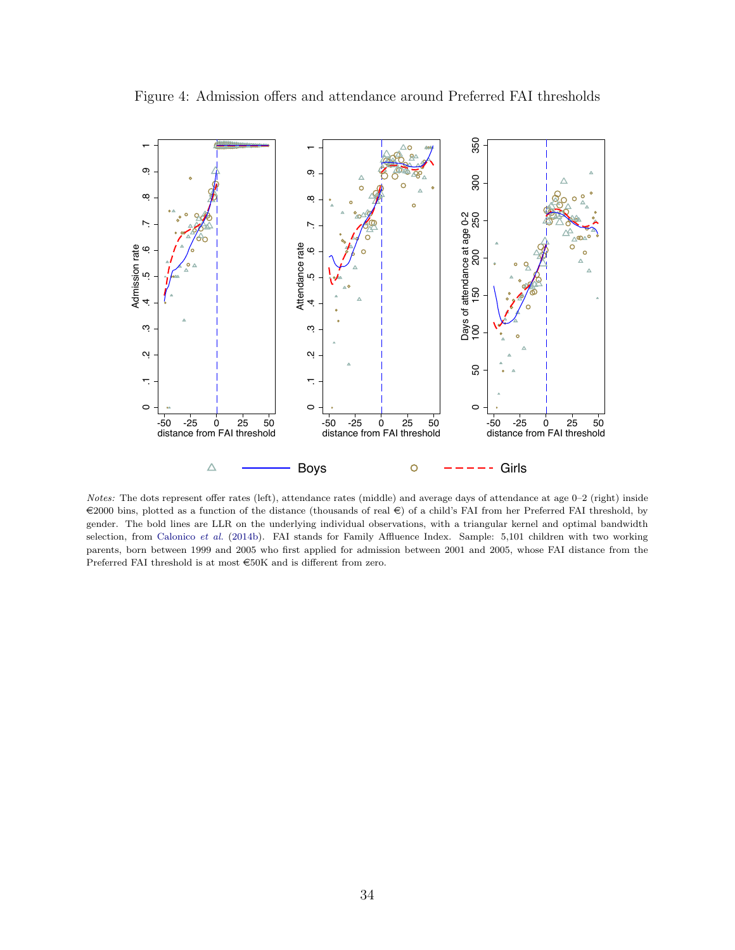

<span id="page-36-0"></span>Figure 4: Admission offers and attendance around Preferred FAI thresholds

*Notes:* The dots represent offer rates (left), attendance rates (middle) and average days of attendance at age 0–2 (right) inside  $\in$ 2000 bins, plotted as a function of the distance (thousands of real  $\in$ ) of a child's FAI from her Preferred FAI threshold, by gender. The bold lines are LLR on the underlying individual observations, with a triangular kernel and optimal bandwidth selection, from [Calonico](#page-30-7) *et al.* [\(2014b\)](#page-30-7). FAI stands for Family Affluence Index. Sample: 5,101 children with two working parents, born between 1999 and 2005 who first applied for admission between 2001 and 2005, whose FAI distance from the Preferred FAI threshold is at most  $\in\!50\mathrm{K}$  and is different from zero.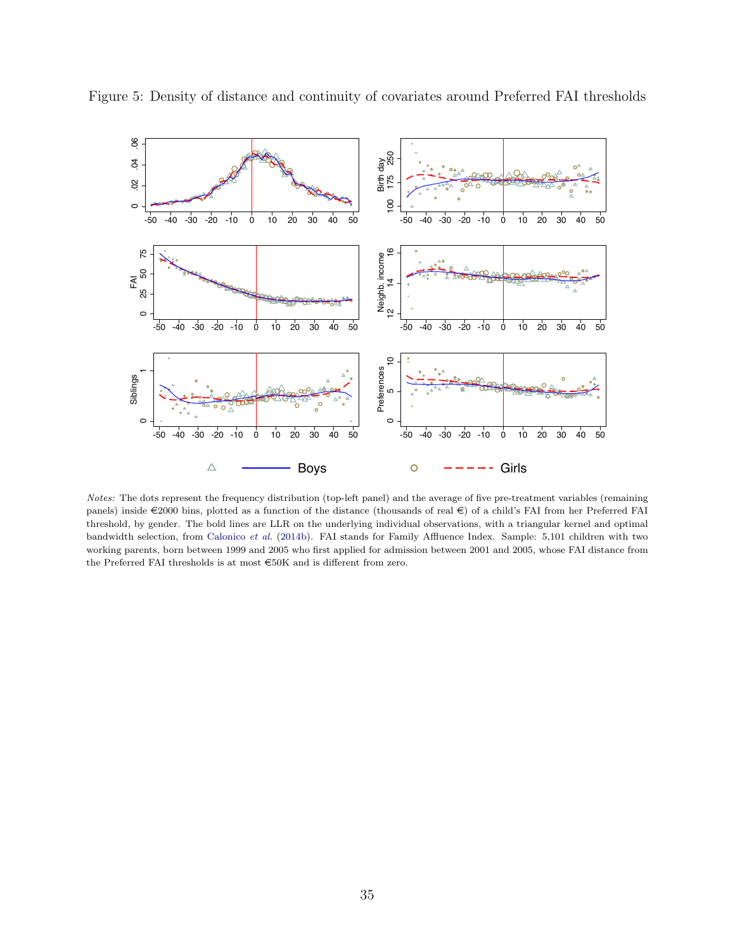<span id="page-37-0"></span>

Figure 5: Density of distance and continuity of covariates around Preferred FAI thresholds

*Notes:* The dots represent the frequency distribution (top-left panel) and the average of five pre-treatment variables (remaining panels) inside  $\in$ 2000 bins, plotted as a function of the distance (thousands of real  $\in$ ) of a child's FAI from her Preferred FAI threshold, by gender. The bold lines are LLR on the underlying individual observations, with a triangular kernel and optimal bandwidth selection, from [Calonico](#page-30-7) *et al.* [\(2014b\)](#page-30-7). FAI stands for Family Affluence Index. Sample: 5,101 children with two working parents, born between 1999 and 2005 who first applied for admission between 2001 and 2005, whose FAI distance from the Preferred FAI thresholds is at most  $\in\!50\mathrm{K}$  and is different from zero.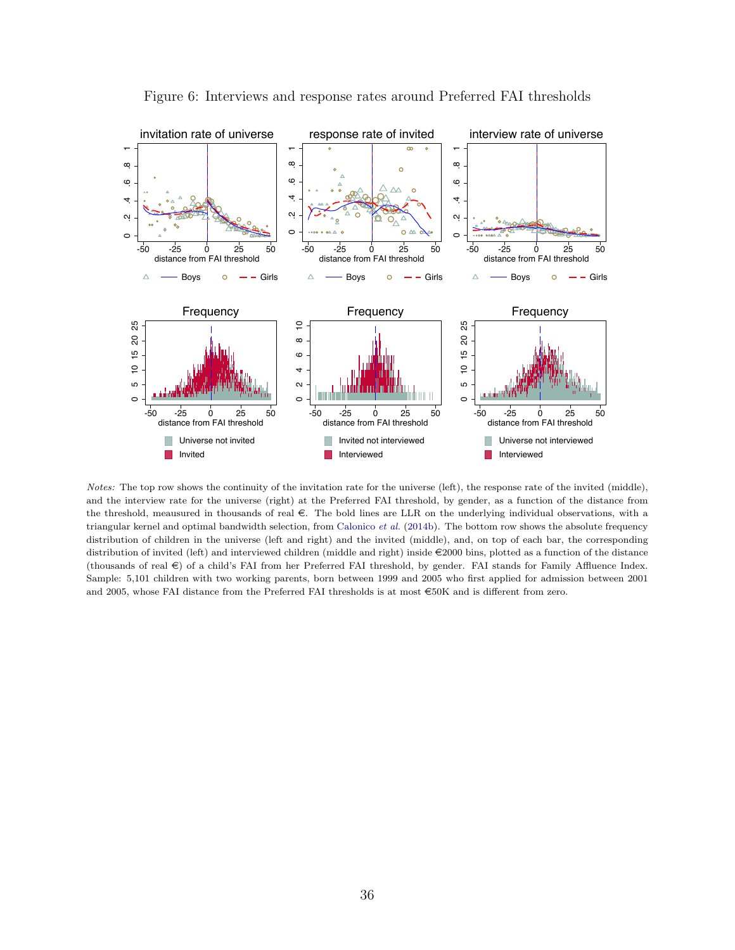

<span id="page-38-0"></span>Figure 6: Interviews and response rates around Preferred FAI thresholds

*Notes:* The top row shows the continuity of the invitation rate for the universe (left), the response rate of the invited (middle), and the interview rate for the universe (right) at the Preferred FAI threshold, by gender, as a function of the distance from the threshold, meausured in thousands of real  $\epsilon$ . The bold lines are LLR on the underlying individual observations, with a triangular kernel and optimal bandwidth selection, from [Calonico](#page-30-7) *et al.* [\(2014b\)](#page-30-7). The bottom row shows the absolute frequency distribution of children in the universe (left and right) and the invited (middle), and, on top of each bar, the corresponding distribution of invited (left) and interviewed children (middle and right) inside e2000 bins, plotted as a function of the distance (thousands of real  $\in$ ) of a child's FAI from her Preferred FAI threshold, by gender. FAI stands for Family Affluence Index. Sample: 5,101 children with two working parents, born between 1999 and 2005 who first applied for admission between 2001 and 2005, whose FAI distance from the Preferred FAI thresholds is at most  $\epsilon$ 50K and is different from zero.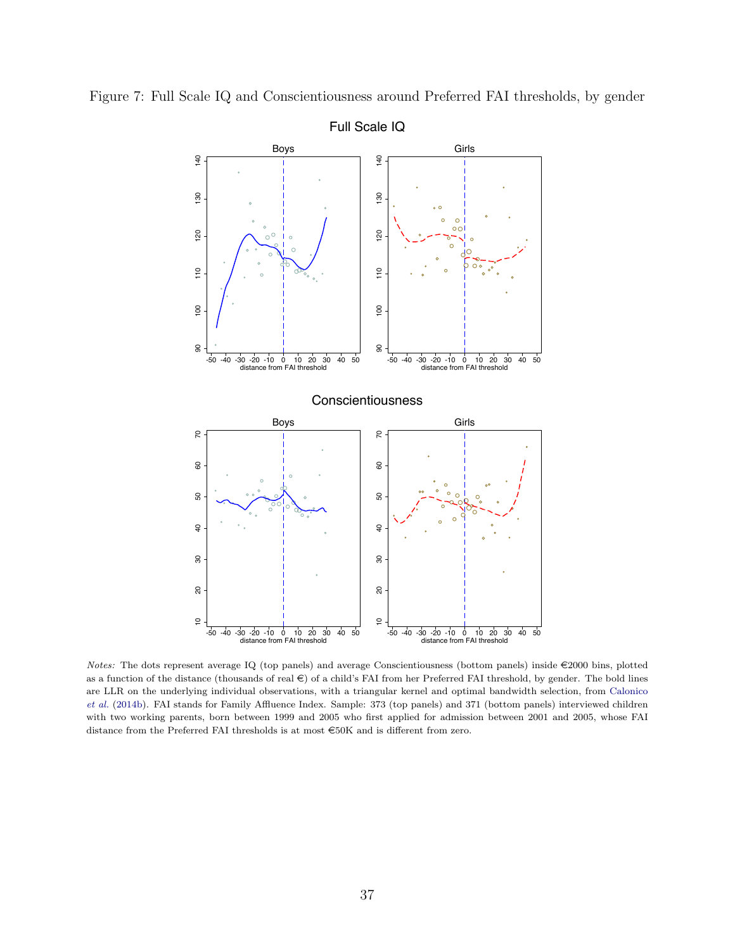<span id="page-39-0"></span>

Figure 7: Full Scale IQ and Conscientiousness around Preferred FAI thresholds, by gender

*Notes:* The dots represent average IQ (top panels) and average Conscientiousness (bottom panels) inside  $\epsilon$ 2000 bins, plotted as a function of the distance (thousands of real  $\in)$  of a child's FAI from her Preferred FAI threshold, by gender. The bold lines are LLR on the underlying individual observations, with a triangular kernel and optimal bandwidth selection, from [Calonico](#page-30-7) *[et al.](#page-30-7)* [\(2014b\)](#page-30-7). FAI stands for Family Affluence Index. Sample: 373 (top panels) and 371 (bottom panels) interviewed children with two working parents, born between 1999 and 2005 who first applied for admission between 2001 and 2005, whose FAI distance from the Preferred FAI thresholds is at most  $\in 50K$  and is different from zero.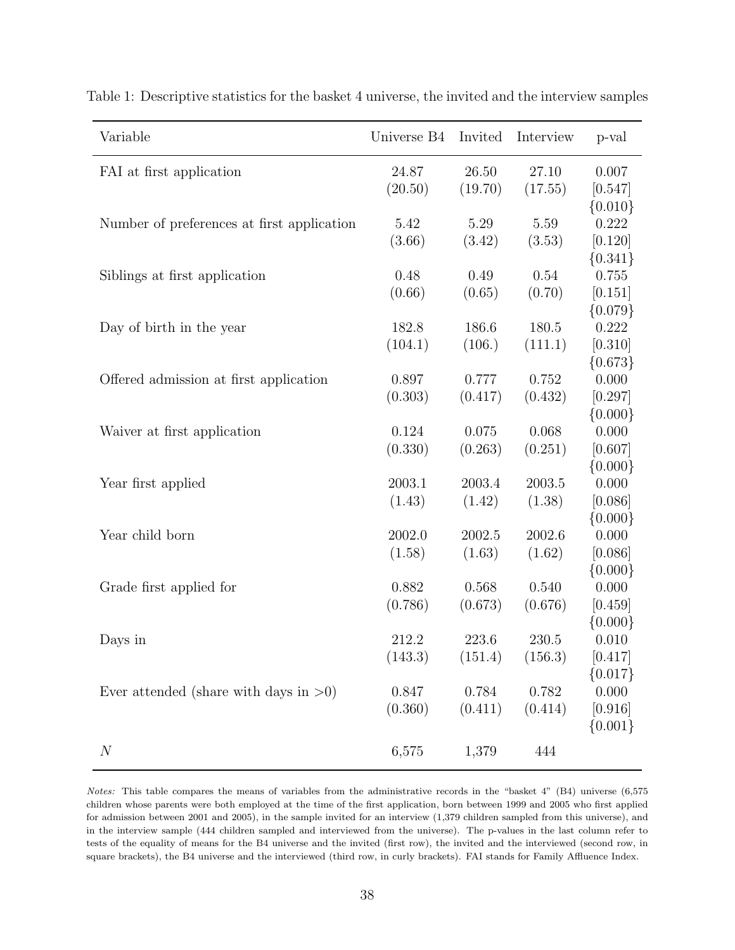| Variable                                   | Universe B4 | Invited | Interview | p-val       |
|--------------------------------------------|-------------|---------|-----------|-------------|
| FAI at first application                   | 24.87       | 26.50   | 27.10     | 0.007       |
|                                            | (20.50)     | (19.70) | (17.55)   | [0.547]     |
|                                            |             |         |           | ${0.010}$   |
| Number of preferences at first application | 5.42        | 5.29    | 5.59      | 0.222       |
|                                            | (3.66)      | (3.42)  | (3.53)    | [0.120]     |
|                                            |             |         |           | ${0.341}$   |
| Siblings at first application              | 0.48        | 0.49    | 0.54      | 0.755       |
|                                            | (0.66)      | (0.65)  | (0.70)    | [0.151]     |
|                                            |             |         |           | ${0.079}$   |
| Day of birth in the year                   | 182.8       | 186.6   | 180.5     | 0.222       |
|                                            | (104.1)     | (106.)  | (111.1)   | [0.310]     |
|                                            |             |         |           | ${0.673}$   |
| Offered admission at first application     | 0.897       | 0.777   | 0.752     | 0.000       |
|                                            | (0.303)     | (0.417) | (0.432)   | [0.297]     |
|                                            |             |         |           | $\{0.000\}$ |
| Waiver at first application                | 0.124       | 0.075   | 0.068     | 0.000       |
|                                            | (0.330)     | (0.263) | (0.251)   | [0.607]     |
|                                            |             |         |           | ${0.000}$   |
| Year first applied                         | 2003.1      | 2003.4  | 2003.5    | 0.000       |
|                                            | (1.43)      | (1.42)  | (1.38)    | [0.086]     |
|                                            |             |         |           | ${0.000}$   |
| Year child born                            | 2002.0      | 2002.5  | 2002.6    | 0.000       |
|                                            | (1.58)      | (1.63)  | (1.62)    | [0.086]     |
|                                            |             |         |           | $\{0.000\}$ |
| Grade first applied for                    | 0.882       | 0.568   | 0.540     | 0.000       |
|                                            | (0.786)     | (0.673) | (0.676)   | [0.459]     |
|                                            |             |         |           | ${0.000}$   |
| Days in                                    | 212.2       | 223.6   | 230.5     | 0.010       |
|                                            | (143.3)     | (151.4) | (156.3)   | [0.417]     |
|                                            |             |         |           | $\{0.017\}$ |
| Ever attended (share with days in $>0$ )   | 0.847       | 0.784   | 0.782     | 0.000       |
|                                            | (0.360)     | (0.411) | (0.414)   | [0.916]     |
|                                            |             |         |           | ${0.001}$   |
| $\boldsymbol{N}$                           | 6,575       | 1,379   | 444       |             |

<span id="page-40-0"></span>Table 1: Descriptive statistics for the basket 4 universe, the invited and the interview samples

*Notes:* This table compares the means of variables from the administrative records in the "basket 4" (B4) universe (6,575 children whose parents were both employed at the time of the first application, born between 1999 and 2005 who first applied for admission between 2001 and 2005), in the sample invited for an interview (1,379 children sampled from this universe), and in the interview sample (444 children sampled and interviewed from the universe). The p-values in the last column refer to tests of the equality of means for the B4 universe and the invited (first row), the invited and the interviewed (second row, in square brackets), the B4 universe and the interviewed (third row, in curly brackets). FAI stands for Family Affluence Index.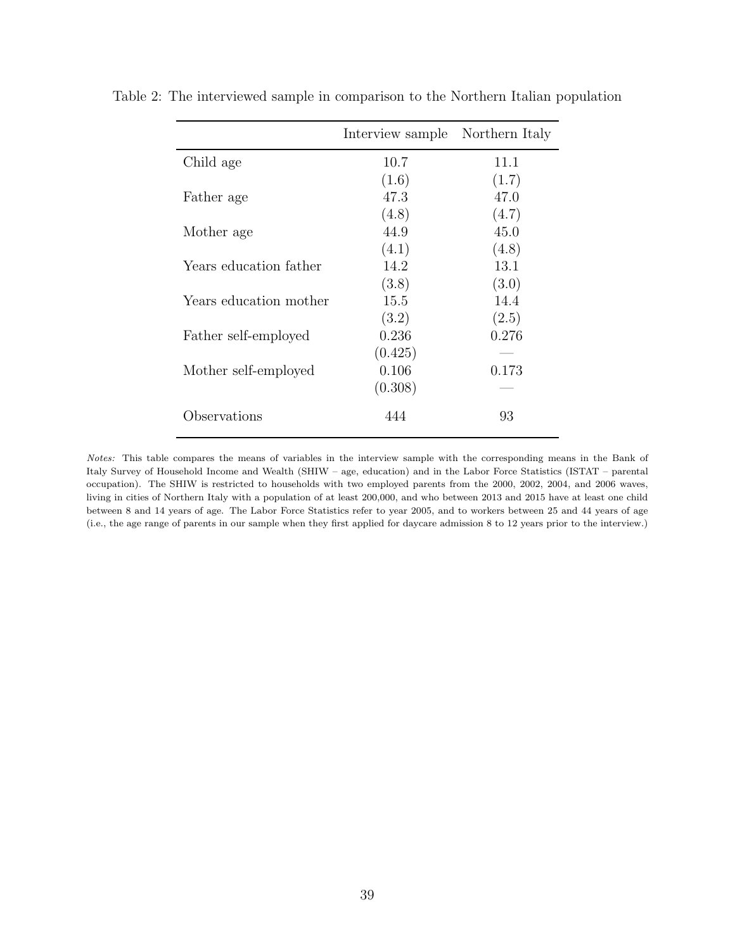<span id="page-41-0"></span>

|                        | Interview sample | Northern Italy |
|------------------------|------------------|----------------|
| Child age              | 10.7             | 11.1           |
|                        | (1.6)            | (1.7)          |
| Father age             | 47.3             | 47.0           |
|                        | (4.8)            | (4.7)          |
| Mother age             | 44.9             | 45.0           |
|                        | (4.1)            | (4.8)          |
| Years education father | 14.2             | 13.1           |
|                        | (3.8)            | (3.0)          |
| Years education mother | 15.5             | 14.4           |
|                        | (3.2)            | (2.5)          |
| Father self-employed   | 0.236            | 0.276          |
|                        | (0.425)          |                |
| Mother self-employed   | 0.106            | 0.173          |
|                        | (0.308)          |                |
| Observations           | 444              | 93             |

Table 2: The interviewed sample in comparison to the Northern Italian population

*Notes:* This table compares the means of variables in the interview sample with the corresponding means in the Bank of Italy Survey of Household Income and Wealth (SHIW – age, education) and in the Labor Force Statistics (ISTAT – parental occupation). The SHIW is restricted to households with two employed parents from the 2000, 2002, 2004, and 2006 waves, living in cities of Northern Italy with a population of at least 200,000, and who between 2013 and 2015 have at least one child between 8 and 14 years of age. The Labor Force Statistics refer to year 2005, and to workers between 25 and 44 years of age (i.e., the age range of parents in our sample when they first applied for daycare admission 8 to 12 years prior to the interview.)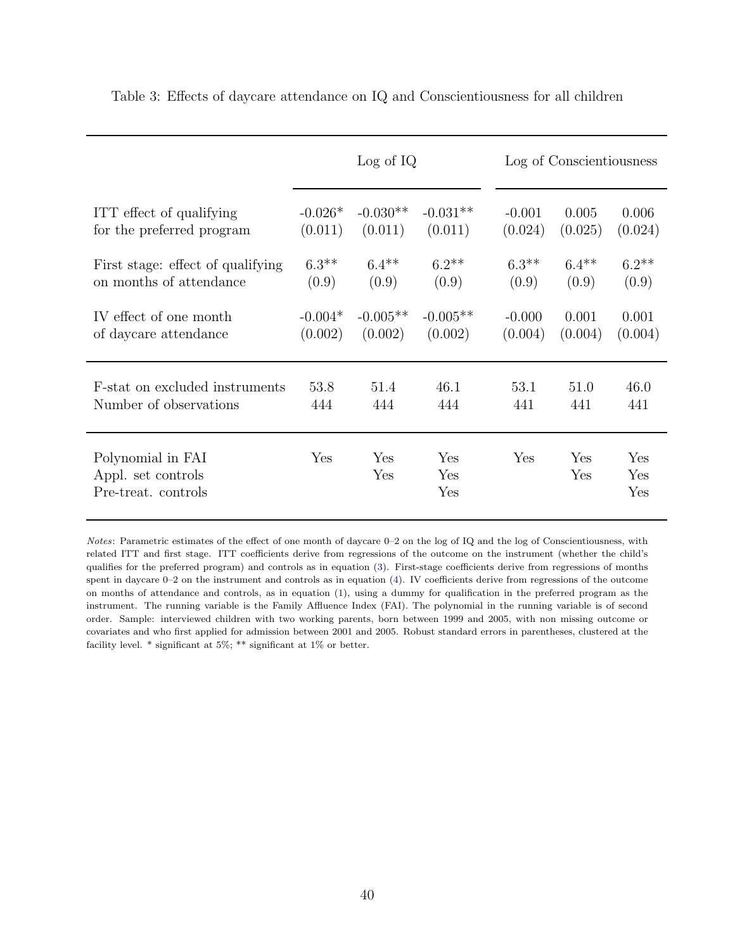|                                                                | Log of IQ |            |                   | Log of Conscientiousness |            |                   |
|----------------------------------------------------------------|-----------|------------|-------------------|--------------------------|------------|-------------------|
| ITT effect of qualifying                                       | $-0.026*$ | $-0.030**$ | $-0.031**$        | $-0.001$                 | 0.005      | 0.006             |
| for the preferred program                                      | (0.011)   | (0.011)    | (0.011)           | (0.024)                  | (0.025)    | (0.024)           |
| First stage: effect of qualifying                              | $6.3**$   | $6.4***$   | $6.2**$           | $6.3**$                  | $6.4**$    | $6.2**$           |
| on months of attendance                                        | (0.9)     | (0.9)      | (0.9)             | (0.9)                    | (0.9)      | (0.9)             |
| IV effect of one month                                         | $-0.004*$ | $-0.005**$ | $-0.005**$        | $-0.000$                 | 0.001      | 0.001             |
| of daycare attendance                                          | (0.002)   | (0.002)    | (0.002)           | (0.004)                  | (0.004)    | (0.004)           |
| F-stat on excluded instruments                                 | 53.8      | 51.4       | 46.1              | 53.1                     | 51.0       | 46.0              |
| Number of observations                                         | 444       | 444        | 444               | 441                      | 441        | 441               |
| Polynomial in FAI<br>Appl. set controls<br>Pre-treat. controls | Yes       | Yes<br>Yes | Yes<br>Yes<br>Yes | Yes                      | Yes<br>Yes | Yes<br>Yes<br>Yes |

<span id="page-42-0"></span>Table 3: Effects of daycare attendance on IQ and Conscientiousness for all children

*Notes*: Parametric estimates of the effect of one month of daycare 0–2 on the log of IQ and the log of Conscientiousness, with related ITT and first stage. ITT coefficients derive from regressions of the outcome on the instrument (whether the child's qualifies for the preferred program) and controls as in equation [\(3\)](#page-20-3). First-stage coefficients derive from regressions of months spent in daycare  $0-2$  on the instrument and controls as in equation [\(4\)](#page-20-4). IV coefficients derive from regressions of the outcome on months of attendance and controls, as in equation [\(1\)](#page-19-4), using a dummy for qualification in the preferred program as the instrument. The running variable is the Family Affluence Index (FAI). The polynomial in the running variable is of second order. Sample: interviewed children with two working parents, born between 1999 and 2005, with non missing outcome or covariates and who first applied for admission between 2001 and 2005. Robust standard errors in parentheses, clustered at the facility level. \* significant at 5%; \*\* significant at 1% or better.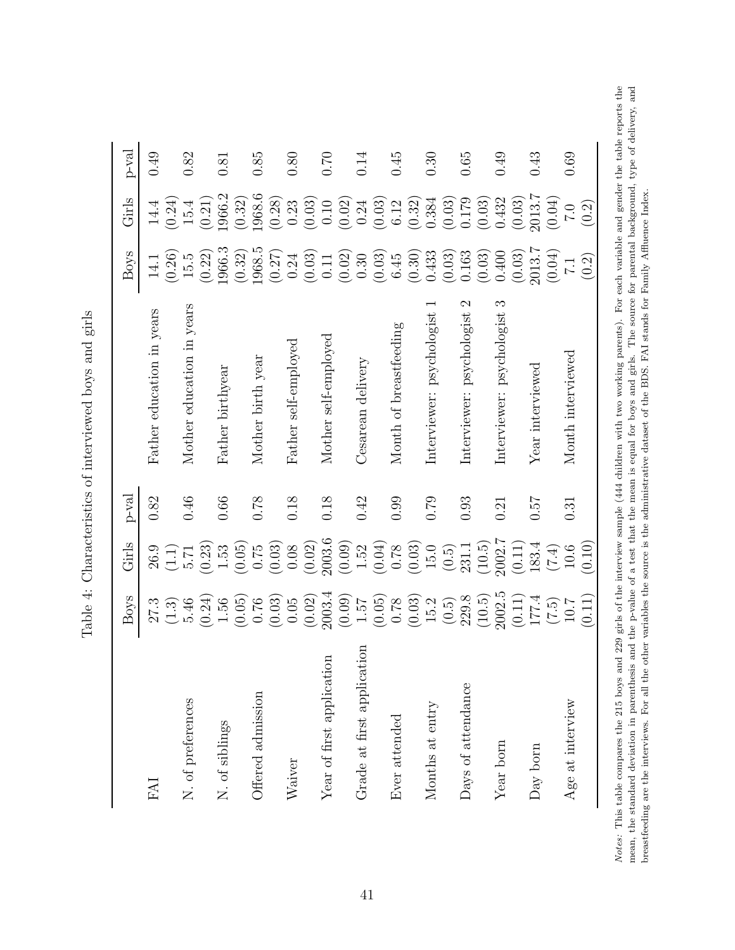| hard and orient<br>$\frac{1}{2}$<br>)       |
|---------------------------------------------|
| j                                           |
|                                             |
| 5<br>l                                      |
| ;<br>;<br>;<br>;                            |
|                                             |
| - CONTROVERSION - HO CONTROVERSON<br>Ï<br>้ |
| i                                           |
|                                             |

| $p$ -val<br>Girls | 0.49<br>(0.24)<br>14.4     | 0.82<br>(0.21)<br>15.4    | 0.81<br>1966.2   | 0.85<br>1968.6<br>(0.32) | 0.80<br>(0.28)<br>0.23                        | 0.70<br>(0.03)<br>(0.10)  | 0.14                        | 0.45<br>$\frac{0.24}{(0.03)}$<br>$6.12\,$ | (0.32)                                                | 0.30<br>0.384             | 0.65<br>$(0.03)$<br>0.179                  | 0.49<br>0.432<br>(0.03) | (0.03)                    | 0.43<br>2013.7<br>(0.04)                                | 0.69<br>(0.2)<br>$\overline{C}$ |
|-------------------|----------------------------|---------------------------|------------------|--------------------------|-----------------------------------------------|---------------------------|-----------------------------|-------------------------------------------|-------------------------------------------------------|---------------------------|--------------------------------------------|-------------------------|---------------------------|---------------------------------------------------------|---------------------------------|
| Boys              | (0.26)<br>$\frac{14.1}{2}$ | (0.22)<br>15.5            | 1966.3           | 1968.5<br>(0.32)         | (0.27)<br>0.24                                | (0.03)<br>0.11            | (0.02)<br>0.30              | (0.03)<br>6.45                            | (0.30)                                                | 0.433                     | 0.163<br>(0.03)                            | 0.400<br>(0.03)         | (0.03)                    | 2013.7<br>(0.04)                                        | (0.2)<br>$\overline{1.1}$       |
|                   | Father education in years  | Mother education in years | Father birthyear | Mother birth year        | Father self-employed                          | Mother self-employed      | Cesarean delivery           | Month of breastfeeding                    |                                                       | Interviewer: psychologist | $\mathcal{C}$<br>Interviewer: psychologist | S                       | Interviewer: psychologist | Year interviewed                                        | Month interviewed               |
| $p$ -val          | 0.82                       | 0.46                      | $0.66\,$         | 0.78                     | 0.18                                          | 0.18                      | 0.42                        | 0.99                                      |                                                       | 0.79                      | 0.93                                       | 0.21                    |                           | 757                                                     | 0.31                            |
| Girls             | 26.9<br>(1.1)              | (0.23)<br>5.71            | $1.53\,$         | (0.05)<br>0.75           | (0.03)<br>$0.08\,$                            | 2003.6<br>(0.02)          | (0.09)                      | $1.52$<br>(0.04)                          | $\begin{array}{c} 0.78 \\ (0.03) \\ 15.0 \end{array}$ |                           | $(0.5)$<br>231.1                           | 2002.7<br>(10.5)        |                           | $\begin{array}{c} (0.11) \\ 183.4 \end{array}$<br>(7.4) | (0.10)<br>10.6                  |
| Boys              | 27.3<br>(1.3)              | (0.24)<br>54.6            | 1.56             | (0.05)<br>0.76           | $\begin{array}{c} (0.03) \\ 0.05 \end{array}$ | $(0.02)$<br>2003.4        | (0.09)<br>$7\ddot{c}\cdot1$ | (0.05)<br>$0.78\,$                        | $\begin{array}{c} (0.03) \\ 15.2 \end{array}$         |                           | $(0.5)$<br>229.8                           | 2002.5<br>(10.5)        |                           | $\begin{array}{c} (0.11) \\ 177.4 \end{array}$<br>(7.5) | $\overline{0.11}$<br>10.7       |
|                   | EAI                        | N. of preferences         | N. of siblings   | Offered admission        | Waiver                                        | Year of first application | Grade at first application  | Ever attended                             |                                                       | Months at entry           | Days of attendance                         |                         | Year born                 | Day born                                                | Age at interview                |

<span id="page-43-0"></span>Notes: This table compares the 215 boys and 229 girls of the interview sample (444 children with two working parents). For each variable and gender the table reports the mean, the standard deviation in parenthesis and the p-value of a test that the mean is equal for boys and girls. The source for parental background, type of delivery, and<br>breastfeeding are the interviews. For all the other *Notes:* This table compares the 215 boys and 229 girls of the interview sample (444 children with two working parents). For each variable and gender the table reports the mean, the standard deviation in parenthesis and the p-value of a test that the mean is equal for boys and girls. The source for parental background, type of delivery, and breastfeeding are the interviews. For all the other variables the source is the administrative dataset of the BDS. FAI stands for Family Affluence Index.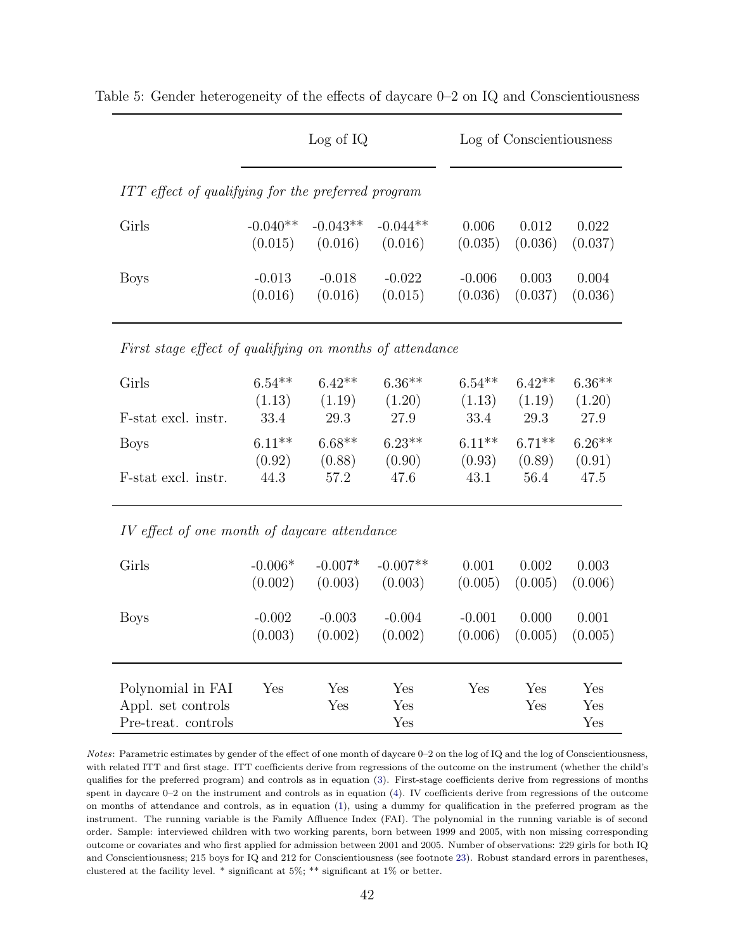|                                                                |                            | Log of IQ                  |                            |                            | Log of Conscientiousness   |                            |  |  |  |  |
|----------------------------------------------------------------|----------------------------|----------------------------|----------------------------|----------------------------|----------------------------|----------------------------|--|--|--|--|
| ITT effect of qualifying for the preferred program             |                            |                            |                            |                            |                            |                            |  |  |  |  |
| Girls                                                          | $-0.040**$<br>(0.015)      | $-0.043**$<br>(0.016)      | $-0.044**$<br>(0.016)      | 0.006<br>(0.035)           | 0.012<br>(0.036)           | 0.022<br>(0.037)           |  |  |  |  |
| <b>Boys</b>                                                    | $-0.013$<br>(0.016)        | $-0.018$<br>(0.016)        | $-0.022$<br>(0.015)        | $-0.006$<br>(0.036)        | 0.003<br>(0.037)           | 0.004<br>(0.036)           |  |  |  |  |
| First stage effect of qualifying on months of attendance       |                            |                            |                            |                            |                            |                            |  |  |  |  |
| Girls                                                          | $6.54**$<br>(1.13)         | $6.42**$<br>(1.19)         | $6.36**$<br>(1.20)         | $6.54**$<br>(1.13)         | $6.42**$<br>(1.19)         | $6.36**$<br>(1.20)         |  |  |  |  |
| F-stat excl. instr.                                            | 33.4                       | 29.3                       | 27.9                       | $33.4\,$                   | 29.3                       | 27.9                       |  |  |  |  |
| <b>Boys</b><br>F-stat excl. instr.                             | $6.11**$<br>(0.92)<br>44.3 | $6.68**$<br>(0.88)<br>57.2 | $6.23**$<br>(0.90)<br>47.6 | $6.11**$<br>(0.93)<br>43.1 | $6.71**$<br>(0.89)<br>56.4 | $6.26**$<br>(0.91)<br>47.5 |  |  |  |  |
| IV effect of one month of daycare attendance                   |                            |                            |                            |                            |                            |                            |  |  |  |  |
| Girls                                                          | $-0.006*$<br>(0.002)       | $-0.007*$<br>(0.003)       | $-0.007**$<br>(0.003)      | 0.001<br>(0.005)           | 0.002<br>(0.005)           | 0.003<br>(0.006)           |  |  |  |  |
| <b>Boys</b>                                                    | $-0.002$<br>(0.003)        | $-0.003$<br>(0.002)        | $-0.004$<br>(0.002)        | $-0.001$<br>(0.006)        | 0.000<br>(0.005)           | 0.001<br>(0.005)           |  |  |  |  |
| Polynomial in FAI<br>Appl. set controls<br>Pre-treat. controls | Yes                        | Yes<br>Yes                 | Yes<br>Yes<br>Yes          | Yes                        | Yes<br>Yes                 | Yes<br>Yes<br>Yes          |  |  |  |  |

<span id="page-44-0"></span>Table 5: Gender heterogeneity of the effects of daycare  $0-2$  on IQ and Conscientiousness

*Notes*: Parametric estimates by gender of the effect of one month of daycare 0–2 on the log of IQ and the log of Conscientiousness, with related ITT and first stage. ITT coefficients derive from regressions of the outcome on the instrument (whether the child's qualifies for the preferred program) and controls as in equation  $(3)$ . First-stage coefficients derive from regressions of months spent in daycare  $0-2$  on the instrument and controls as in equation  $(4)$ . IV coefficients derive from regressions of the outcome on months of attendance and controls, as in equation [\(1\)](#page-19-4), using a dummy for qualification in the preferred program as the instrument. The running variable is the Family Affluence Index (FAI). The polynomial in the running variable is of second order. Sample: interviewed children with two working parents, born between 1999 and 2005, with non missing corresponding outcome or covariates and who first applied for admission between 2001 and 2005. Number of observations: 229 girls for both IQ and Conscientiousness; 215 boys for IQ and 212 for Conscientiousness (see footnote [23\)](#page-16-1). Robust standard errors in parentheses, clustered at the facility level. \* significant at 5%; \*\* significant at 1% or better.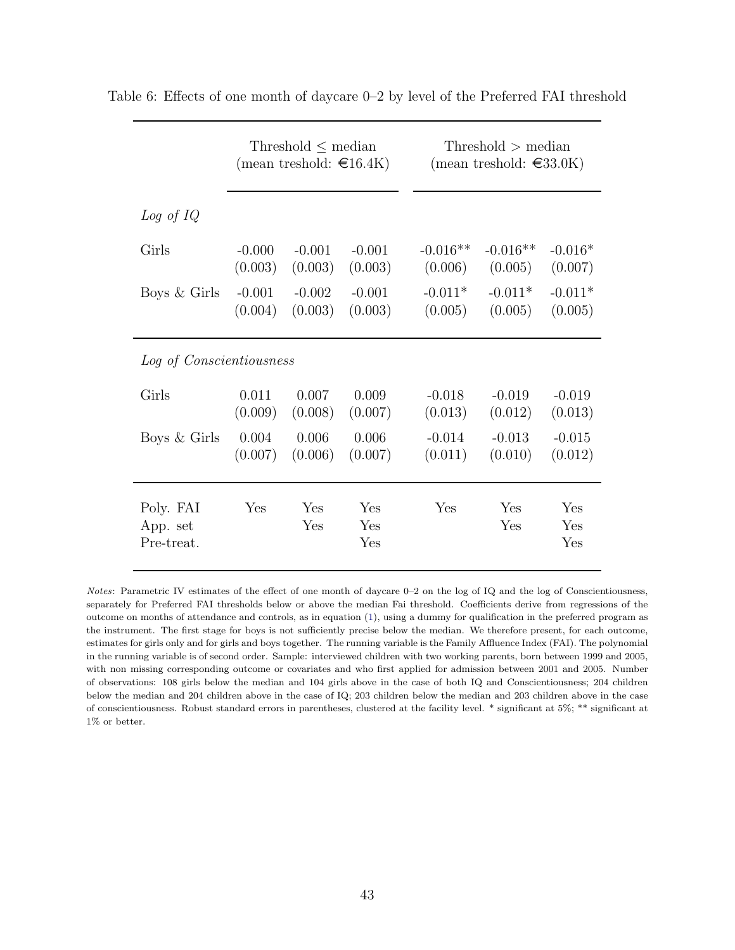|                                     |          | Threshold $\leq$ median<br>(mean treshold: $\in$ 16.4K) |                   |            | $Threshold$ > median<br>(mean treshold: $\in$ 33.0K) |                   |
|-------------------------------------|----------|---------------------------------------------------------|-------------------|------------|------------------------------------------------------|-------------------|
| Log of IQ                           |          |                                                         |                   |            |                                                      |                   |
| Girls                               | $-0.000$ | $-0.001$                                                | $-0.001$          | $-0.016**$ | $-0.016**$                                           | $-0.016*$         |
|                                     | (0.003)  | (0.003)                                                 | (0.003)           | (0.006)    | (0.005)                                              | (0.007)           |
| Boys $&$ Girls                      | $-0.001$ | $-0.002$                                                | $-0.001$          | $-0.011*$  | $-0.011*$                                            | $-0.011*$         |
|                                     | (0.004)  | (0.003)                                                 | (0.003)           | (0.005)    | (0.005)                                              | (0.005)           |
| Log of Conscientiousness            |          |                                                         |                   |            |                                                      |                   |
| Girls                               | 0.011    | 0.007                                                   | 0.009             | $-0.018$   | $-0.019$                                             | $-0.019$          |
|                                     | (0.009)  | (0.008)                                                 | (0.007)           | (0.013)    | (0.012)                                              | (0.013)           |
| Boys & Girls                        | 0.004    | 0.006                                                   | 0.006             | $-0.014$   | $-0.013$                                             | $-0.015$          |
|                                     | (0.007)  | (0.006)                                                 | (0.007)           | (0.011)    | (0.010)                                              | (0.012)           |
| Poly. FAI<br>App. set<br>Pre-treat. | Yes      | Yes<br>Yes                                              | Yes<br>Yes<br>Yes | Yes        | Yes<br>Yes                                           | Yes<br>Yes<br>Yes |

<span id="page-45-0"></span>Table 6: Effects of one month of daycare 0–2 by level of the Preferred FAI threshold

*Notes*: Parametric IV estimates of the effect of one month of daycare 0–2 on the log of IQ and the log of Conscientiousness, separately for Preferred FAI thresholds below or above the median Fai threshold. Coefficients derive from regressions of the outcome on months of attendance and controls, as in equation [\(1\)](#page-19-4), using a dummy for qualification in the preferred program as the instrument. The first stage for boys is not sufficiently precise below the median. We therefore present, for each outcome, estimates for girls only and for girls and boys together. The running variable is the Family Affluence Index (FAI). The polynomial in the running variable is of second order. Sample: interviewed children with two working parents, born between 1999 and 2005, with non missing corresponding outcome or covariates and who first applied for admission between 2001 and 2005. Number of observations: 108 girls below the median and 104 girls above in the case of both IQ and Conscientiousness; 204 children below the median and 204 children above in the case of IQ; 203 children below the median and 203 children above in the case of conscientiousness. Robust standard errors in parentheses, clustered at the facility level. \* significant at 5%; \*\* significant at 1% or better.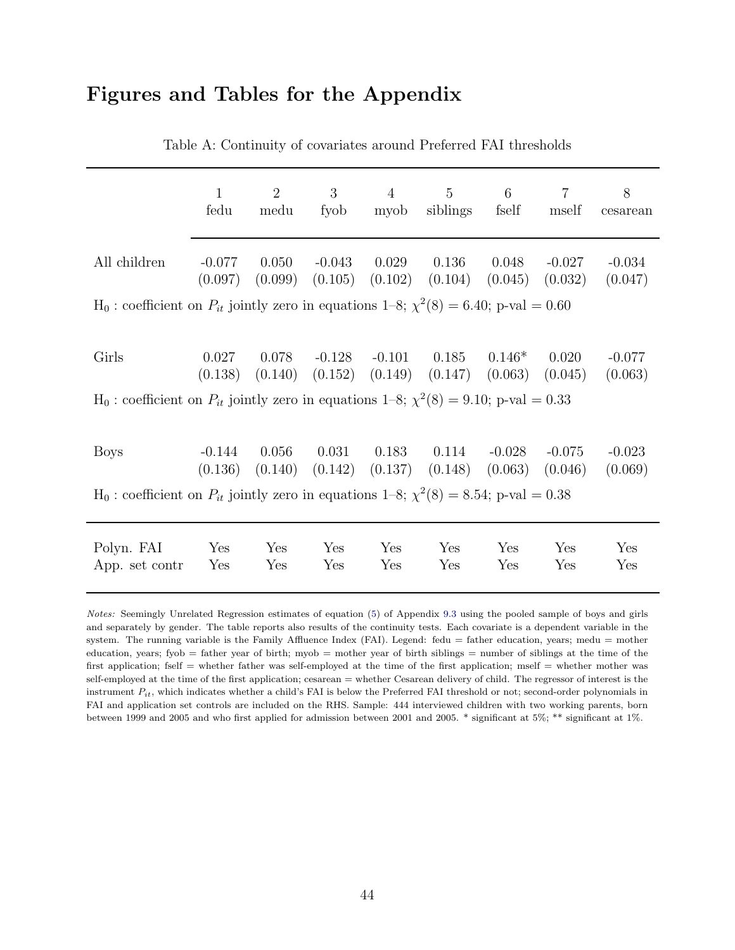### Figures and Tables for the Appendix

|                                                                                                  | $\mathbf{1}$<br>fedu | 2<br>medu | 3<br>fyob | $\overline{4}$<br>myob    | $\overline{5}$<br>siblings                                 | 6<br>fself | $\overline{7}$<br>mself | 8<br>cesarean       |  |  |
|--------------------------------------------------------------------------------------------------|----------------------|-----------|-----------|---------------------------|------------------------------------------------------------|------------|-------------------------|---------------------|--|--|
| All children                                                                                     | $-0.077$<br>(0.097)  | 0.050     | $-0.043$  | 0.029                     | 0.136<br>$(0.099)$ $(0.105)$ $(0.102)$ $(0.104)$ $(0.045)$ | 0.048      | $-0.027$<br>(0.032)     | $-0.034$<br>(0.047) |  |  |
| $H_0$ : coefficient on $P_{it}$ jointly zero in equations 1–8; $\chi^2(8) = 6.40$ ; p-val = 0.60 |                      |           |           |                           |                                                            |            |                         |                     |  |  |
|                                                                                                  |                      |           |           |                           |                                                            |            |                         |                     |  |  |
| Girls                                                                                            | 0.027<br>(0.138)     | 0.078     |           | $-0.128$ $-0.101$ $0.185$ | $(0.140)$ $(0.152)$ $(0.149)$ $(0.147)$ $(0.063)$          | $0.146*$   | 0.020<br>(0.045)        | $-0.077$<br>(0.063) |  |  |
| $H_0$ : coefficient on $P_{it}$ jointly zero in equations 1–8; $\chi^2(8) = 9.10$ ; p-val = 0.33 |                      |           |           |                           |                                                            |            |                         |                     |  |  |
|                                                                                                  |                      |           |           |                           |                                                            |            |                         |                     |  |  |
| <b>Boys</b>                                                                                      | $-0.144$<br>(0.136)  | 0.056     | 0.031     | 0.183                     | 0.114<br>$(0.140)$ $(0.142)$ $(0.137)$ $(0.148)$ $(0.063)$ | -0.028     | $-0.075$<br>(0.046)     | $-0.023$<br>(0.069) |  |  |
| $H_0$ : coefficient on $P_{it}$ jointly zero in equations 1–8; $\chi^2(8) = 8.54$ ; p-val = 0.38 |                      |           |           |                           |                                                            |            |                         |                     |  |  |
|                                                                                                  |                      |           |           |                           |                                                            |            |                         |                     |  |  |
| Polyn. FAI                                                                                       | Yes                  | Yes       | Yes       | Yes                       | Yes                                                        | Yes        | Yes                     | Yes                 |  |  |
| App. set contr                                                                                   | Yes                  | Yes       | Yes       | Yes                       | Yes                                                        | Yes        | Yes                     | Yes                 |  |  |

Table A: Continuity of covariates around Preferred FAI thresholds

*Notes:* Seemingly Unrelated Regression estimates of equation [\(5\)](#page-28-1) of Appendix [9.3](#page-28-0) using the pooled sample of boys and girls and separately by gender. The table reports also results of the continuity tests. Each covariate is a dependent variable in the system. The running variable is the Family Affluence Index (FAI). Legend: fedu = father education, years; medu = mother education, years; fyob = father year of birth; myob = mother year of birth siblings = number of siblings at the time of the first application; fself = whether father was self-employed at the time of the first application; mself = whether mother was self-employed at the time of the first application; cesarean = whether Cesarean delivery of child. The regressor of interest is the instrument  $P_{it}$ , which indicates whether a child's FAI is below the Preferred FAI threshold or not; second-order polynomials in FAI and application set controls are included on the RHS. Sample: 444 interviewed children with two working parents, born between 1999 and 2005 and who first applied for admission between 2001 and 2005. \* significant at 5%; \*\* significant at 1%.